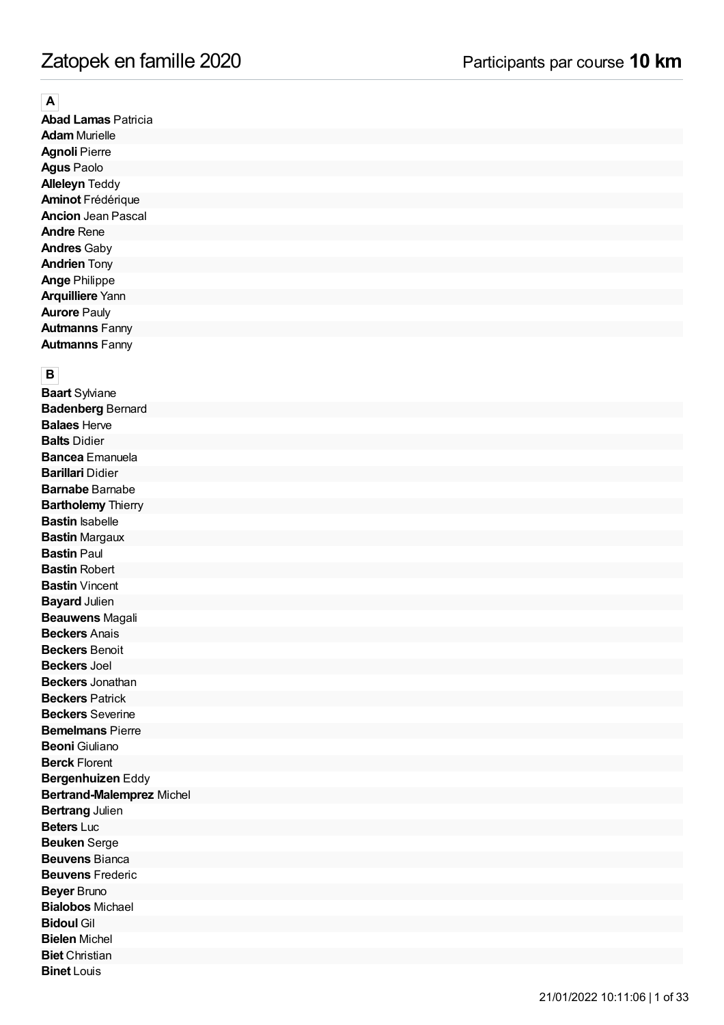**A**<br>**Abad Lamas** Patricia **Ad a m** M u rielle **Agnoli** Pierre Agus Paolo **Alleleyn Teddy Aminot** Frédérique **Ancion** Jean Pascal **Andre** Rene **Andres** Gaby **Andrien** Tony **Ange** Philippe **Arquilliere** Yann **Aurore** Pauly **Autmanns** Fanny **Autmanns** Fanny

**B**<br>**Baart** Sylviane **Badenberg** Bernard **Balaes** Herve **Balts** Didier **Bancea** Emanuela **Barillari** Didier **Barnabe** Barnabe **Bartholemy** Thierry **Bastin** Isabelle **Bastin** Margaux **Bastin** Paul **Bastin** Robert **Bastin** Vincent **Bayard** Julien **Beauwens** Magali **Beckers** Anais **Beckers** Benoit **Beckers** Joel **Beckers** Jonathan **Beckers** Patrick **Beckers** Severine **Bemelmans** Pierre **Beoni** Giuliano **Berck** Florent **Bergenhuizen** Eddy Bertrand-Malemprez Michel **Bertrang** Julien **Beters** Luc **Beuken** Serge **Beuvens** Bianca **Beuvens** Frederic **Beyer** Bruno **Bialobos** Michael **Bidoul** Gil **Bielen** Michel **Biet** Christian **Binet** Louis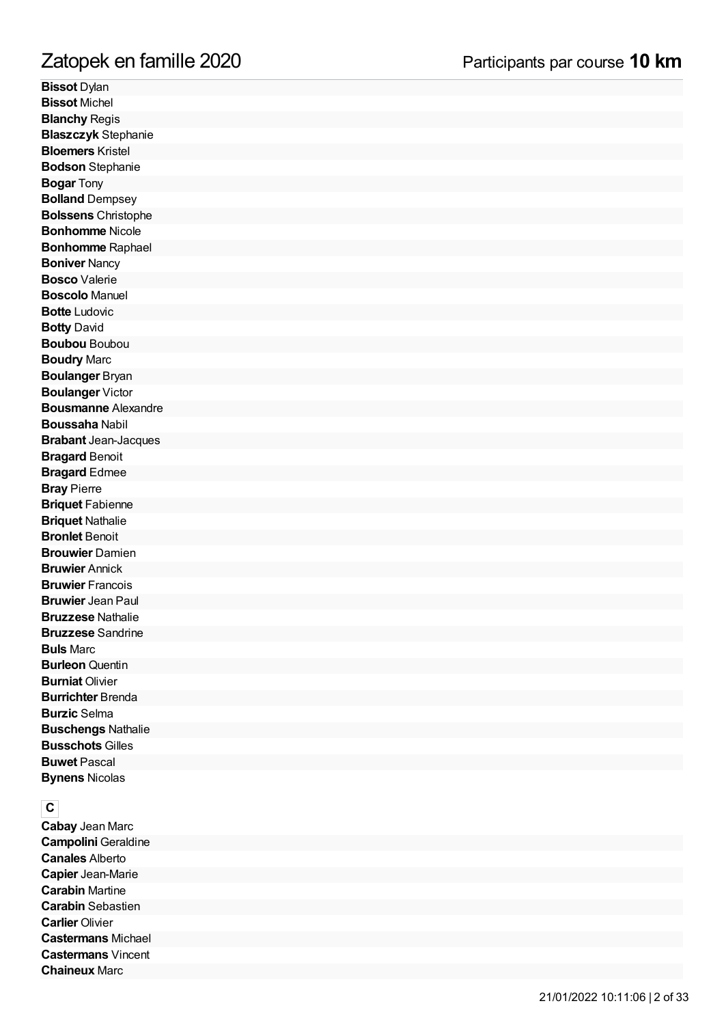# mille 2 0 2 0

**Bissot** Dylan **Bissot Michel Blanchy** Regis Blaszczyk Stephanie **Bloemers** Kristel **Bodson** Stephanie **Bogar** Tony **Bolland** Dempsey **Bolssens** Christop h e **Bonhomme** Nicole **Bonhomme** Raphael **Boniver** Nancy **Bosco** Valerie **Boscolo** Manuel **Botte** Ludovic **Botty** David **Boubou** Boubou **Boudry** Marc **Boulanger** Bryan **Boulanger** Victor Bousmanne Alexandre **Boussaha Nabil Brabant** Jean-Jacques **Bragard** Benoit **Bragard** Edmee **Bray** Pierre **Briquet** Fabienne **Briquet Nathalie Bronlet** Benoit **Brouwier** Damien **Bruwier** Annick **Bruwier** Francois **Bruwier** Jean Paul **Bruzzese** Nathalie **Bruzzese** Sandrine **Buls** Marc **Burleon** Quentin **Burniat** Olivier **Burrichter** Brenda **Burzic** Selma **Buschengs** Nathalie **Busschots** Gilles **Buwet** Pascal **Bynens** Nicolas Zatopek en fan<br>Bissot Dylan<br>Bissot Michel<br>Blanchy Regis<br>Blaszczyk Stephanie<br>Bloemers Kristel<br>Bodson Stephanie<br>Bogar Tony<br>Bolland Dempsey<br>Bolssens Christophe<br>Bonhomme Raphael<br>Bonhomme Raphael<br>Bonhomme Raphael<br>Bonhomme Rapha

**CCabay** Jean Marc **Campolini** Geraldine **Canales** Alberto **Capier** Jean-Marie **Carabin** Martine **Carabin** Sebastien **Carlier** Olivier **Castermans** Michael **Castermans** Vincent **Chaineux Marc**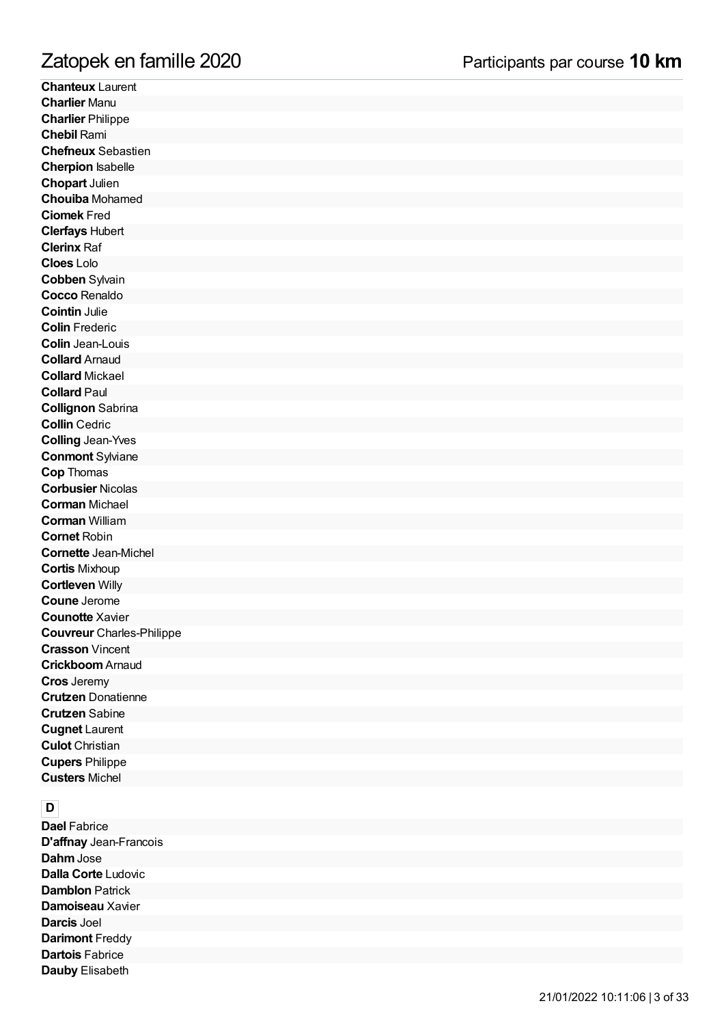**Chanteux** Laurent **Charlier** Manu **Charlier** Philippe **C h e bil** R a mi **Chefneux** Sebastien **Cherpion** Isabelle **Chopart** Julien **Chouiba** Mohamed **Ciomek** Fred **Clerfays Hubert Clerinx Raf Clo e s** L olo **Cobben** Sylvain **Cocco** Renaldo **C oin tin** J ulie **Colin** Frederic **Colin** Jean-Louis **Collard** Arnaud **Collard** Mickael **Collard** Paul **Collignon** Sabrin a **Collin** Cedric **Colling** Jean-Yves **Conmont** Sylviane **Cop Thomas Corbusier Nicolas** Corman Michael **Corman** William **Cornet** Robin Cornette Jean-Michel **Cortis** Mixhoup **Cortleven** Willy **Coune** Jerome **Counotte** Xavier **Couvreur** Charles-Philip p e **Crasson Vincent Crickboom** Arnaud **Cros** Jeremy Crutzen Donatienne **C r u tz e n** S a bin e **Cugnet** Laurent **Culot** Christian **Cupers** Philippe **Custers** Michel

**D**<br>**Dael** Fabrice D'affnay Jean-Francois **Dahm** Jose **Dalla Corte Ludovic Damblon** Patrick **Damoiseau** Xavier Darcis Joel Darimont Freddy **Dartois** Fabrice **Dauby** Elisabeth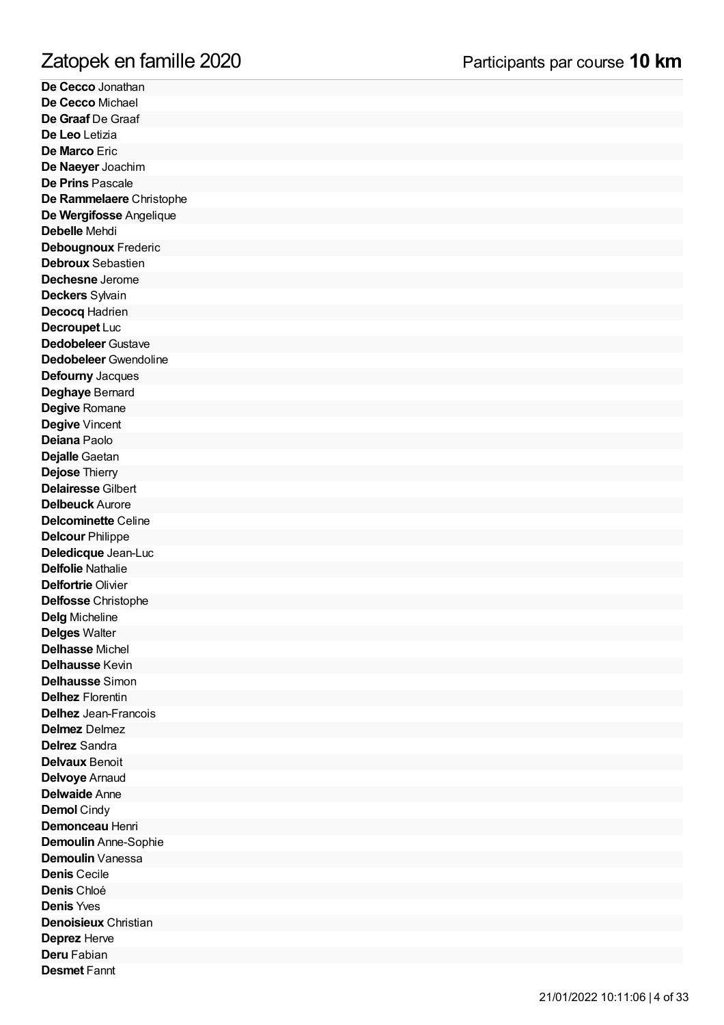**De Cecco** Jonathan De Cecco Michael **De Graaf** De Graaf **De Leo** Letizia **De Marco** Eric **De Naeyer** Joachim **De Prins** Pascale De Rammelaere Christophe **De Wergifosse Angelique** Debelle Mehdi Debougnoux Frederic **Debroux** Sebastien **Dechesne** Jerome **Deckers** Sylvain **Decocq** Hadrien **Decroupet** Luc **Dedobeleer** Gustave **Dedobeleer** Gwendoline **Defourny** Jacques **Deghaye** Bernard Degive Romane Degive Vincent **Deiana** Paolo **Dejalle** Gaetan **Dejose Thierry Delairesse Gilbert Delbeuck** Aurore **Delcominette** Celine **Delcour** Philippe **Deledicque** Jean-Luc Delfolie Nathalie **Delfortrie** Olivier **Delfosse** Christophe Delg Micheline **Delges Walter Delhasse** Michel **Delhausse** Kevin **Delhausse** Simon **Delhez** Florentin **Delhez** Jean-Franc ois **Delmez** Delmez **Delrez** Sandra Delvaux Benoit Delvoye Arnaud **Delwaide** Anne **Demol** Cindy **Demonceau** Henri **Demoulin** Anne-So p hie **Demoulin** Vanessa **Denis** Cecile **D e nis** C hlo é **Denis** Yves **Denoisieux** Christian **Deprez** Herve **Deru** Fabian **Desmet** Fannt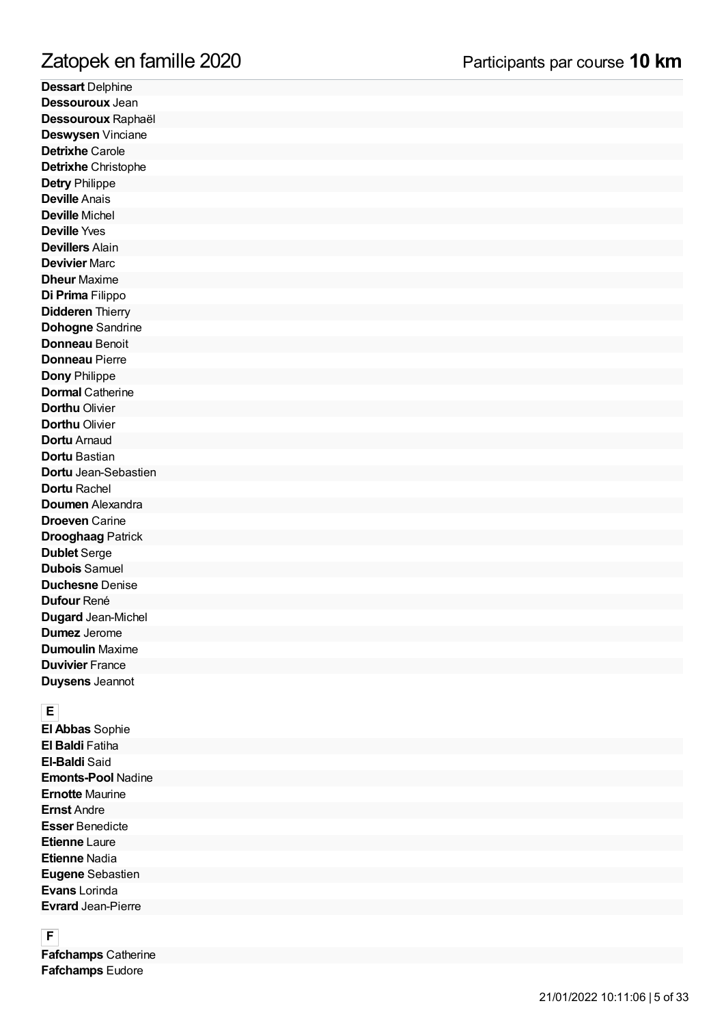# mille 2 0 2 0

**Dessart** Delphine **Dessouroux** Jean Dessouroux Raphaël **Deswysen** Vinciane **Detrixhe** Carole **Detrixhe** Christophe **Detry** Philippe **Deville** Anais **Deville** Michel **Deville** Yves **Devillers** Alain **Devivier** Marc **Dheur** Maxime **Di Prima** Filippo **Didderen** Thierry **Dohogne** Sandrine **Donneau** Benoit **Donneau** Pierre **Dony** Philippe **Dormal** Catherine **Dorthu** Olivier **Dorthu** Olivier **Dortu** Arnaud **Dortu** Bastian **Dortu** Jean-Sebastien **Dortu** Rachel **Doumen** Alexandra **Droeven** Carine **Drooghaag** Patrick **Dublet** Serge **Dubois** Samuel **Duchesne** Denise **Dufour** René **Dugard** Jean-Michel **Dumez** Jerome **Dumoulin** Maxime **Duvivier** France **Duysens** Jeannot **Zatopek en fan<br>Dessart** Delphine<br>Dessouroux Jean<br>Dessouroux Jean<br>Deswysen Vinciane<br>Detrixhe Carole<br>Detrixhe Christophe<br>Deville Anais<br>Deville Anais<br>Deville Michel<br>Deville Yeal<br>Deville Yeal<br>Deville Yeal<br>Deville Yeal<br>Deville

**EEl Abbas** Sophie **El Baldi** Fatiha **El-Baldi** Said **Emonts-Pool** Nadine **Ernotte** Maurine **Ernst** Andre **Esser** Benedicte **Etienne** Laure **Etienne** Nadia **Eugene** Sebastien **Evans** Lorinda **Evrard** Jean-Pierre

**F**<br>**Fafchamps** Catherine **Fafchamps Eudore**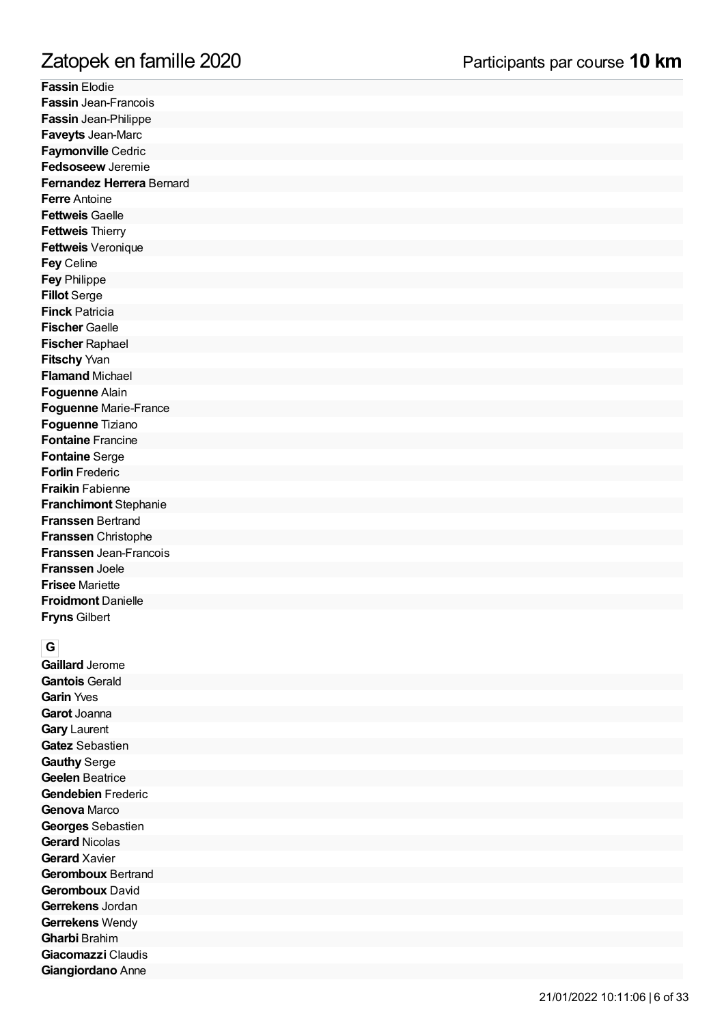**F a s sin** Elo die **Fassin** Jean-Francois **Fassin** Jean-Philippe **Faveyts** Jean-Marc **Faymonville** Cedric **Fedsoseew** Jeremie Fernandez Herrera Bernard **Ferre** Antoine **Fettweis** Gaelle **Fettweis** Thierry **Fettweis** Veronique **F e y** C elin e **F e y** P hilip p e **Fillot** Serge **Finck** Patricia **Fischer** Gaelle **Fischer** Raphael **Fitschy** Yvan **Flamand** Michael **Foguenne** Alain Foguenne Marie-France **Foguenne** Tiziano **Fontaine** Francine **Fontaine** Serge Forlin Frederic **Fraikin** Fabienne **Franchimont Stephanie Franssen** Bertrand **Franssen** Christophe Franssen Jean-Francois **Franssen** Joele **Frisee** Mariette **Froidmont Danielle Fryns Gilbert** 

**G**<br>**Gaillard** Jerome Gantois Gerald Garin Yves **Garot** Joanna Gary Laurent Gatez Sebastien **Gauthy** Serge Geelen Beatrice Gendebien Frederic Genova Marco Georges Sebastien Gerard Nicolas Gerard Xavier Geromboux Bertrand Geromboux David Gerrekens Jordan Gerrekens Wendy **G h a r bi** B ra him Giacomazzi Claudis **Giangiordano** Anne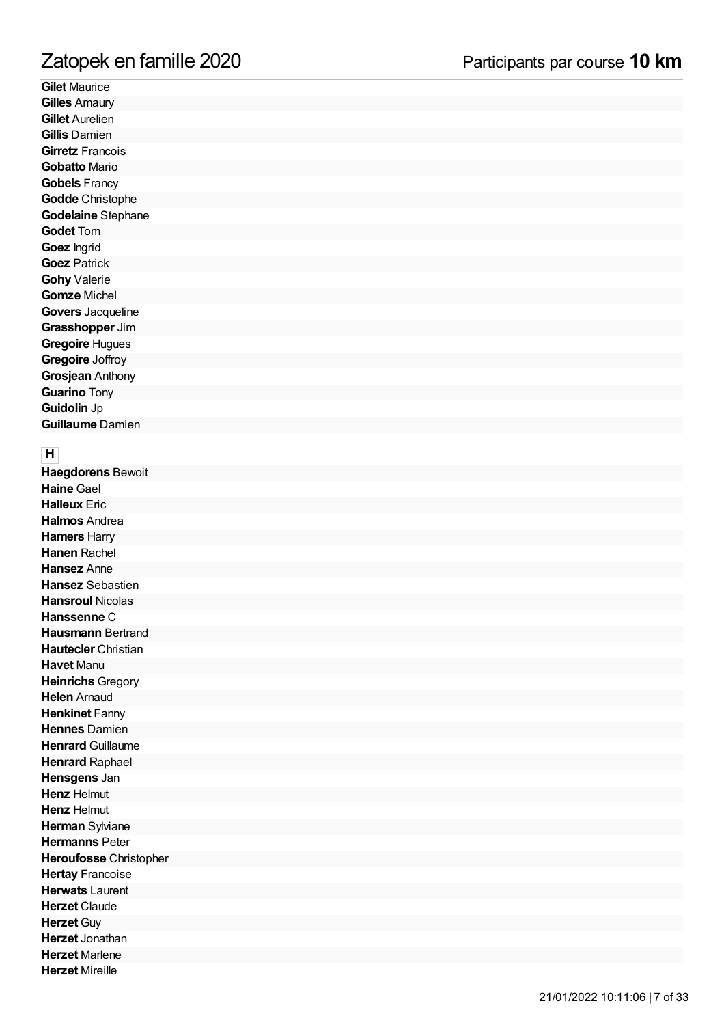Gilet Maurice **Gilles** Amaury **Gillet** Aurelien Gillis Damien **Girretz** Francois Gobatto Mario Gobels Francy Godde Christophe Godelaine Stephane **Godet** Tom Goez Ingrid Goez Patrick Gohy Valerie Gomze Michel **Govers** Jacquelin e **Grasshopper** Jim Gregoire Hugues Gregoire Joffroy **Grosjean** Anthony **Guarino** Tony **Guidolin** Jp **Guillaume** Damien

**H**<br>**Haegdorens** Bewoit **Haine** Gael **Halleux** Eric **Halmos** Andrea **Hamers** Harry Hanen Rachel **Hansez** Anne Hansez Sebastien **Hansroul** Nicolas **Hanssenne** C **Hausmann** Bertrand **Hautecler** Christian **Havet** Manu **Heinrichs** Gregory **Helen** Arnaud **Henkinet** Fanny **Hennes** Damien **Henrard** Guillaume **Henrard** Raphael **Hensgens** Jan **Henz** Helmut **Henz** Helmut **Herman** Sylviane **Hermanns** Peter Heroufosse Christopher **Hertay** Francoise **Herwats** Laurent **Herzet** Claude **Herzet** Guy **Herzet** Jonathan **Herzet** Marlene **Herzet** Mireille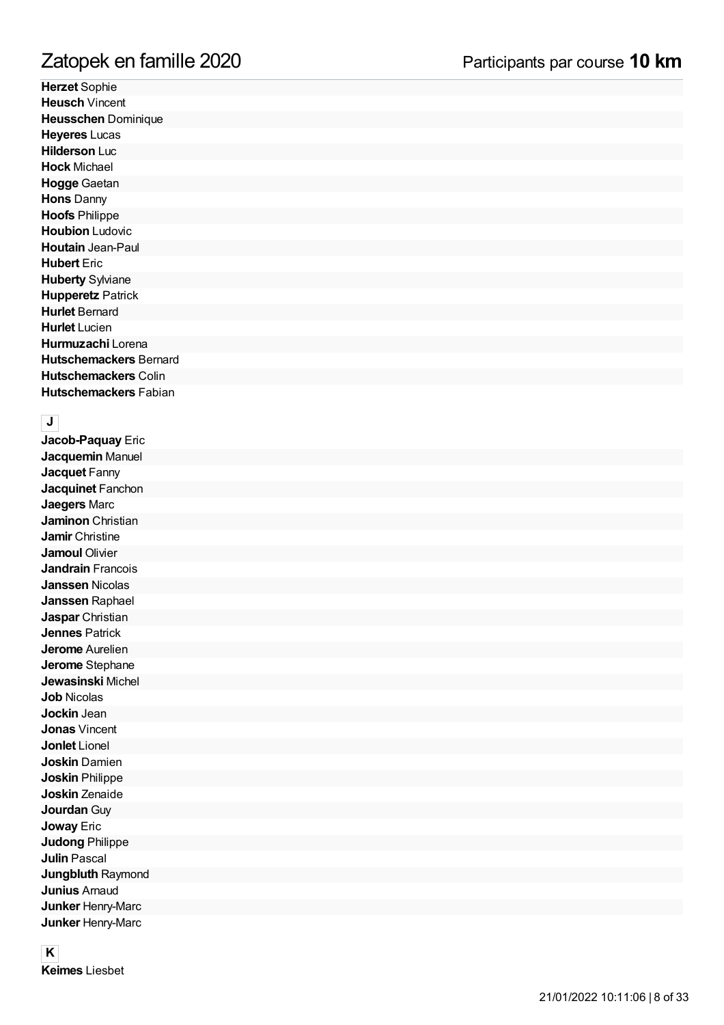**H e rz e t** S o p hie **Heusch** Vincent Heusschen Dominique **Heyeres** Lucas **Hilderson** Luc **Hock** Michael **Hogge** Gaeta n **Hons** Danny **Hoofs** Philippe **Houbion** Ludovic **Houtain** Jean-Paul **Hubert** Eric **Huberty** Sylviane **Hupperetz** Patrick **Hurlet** Bernard **Hurlet** Lucien **Hurmuzachi** Loren a Hutschemackers Bernard Hutschemackers Colin Hutschemackers Fabian

 $\begin{bmatrix} \textbf{J} \end{bmatrix}$ **Jacob-Paquay** Eric **Jacquemin** Manuel **Jacquet** Fanny **Jacquinet** Fanchon **Jaegers** Marc **Jaminon** Christian **Jamir** Christine **Jamoul** Olivier **Jandrain** Francois **Janssen** Nicolas **Janssen** Raphael **Jaspar** Christian **Jennes** Patrick **Jerome** Aurelien **Jerome** Stephane **Jewasinski** Michel **Job** Nicolas **Jockin** Jean **Jonas** Vincent **Jonlet** Lionel **Joskin** Damien **Joskin** Philippe **Joskin** Zenaide **Jourdan** Guy **Joway** Eric **Judong** Philippe **Julin** Pascal **Jungbluth** Raymon d **Junius** Arnaud **Junker** Henry-Marc **Junker** Henry-Marc

**K**<br>**Keimes** Liesbet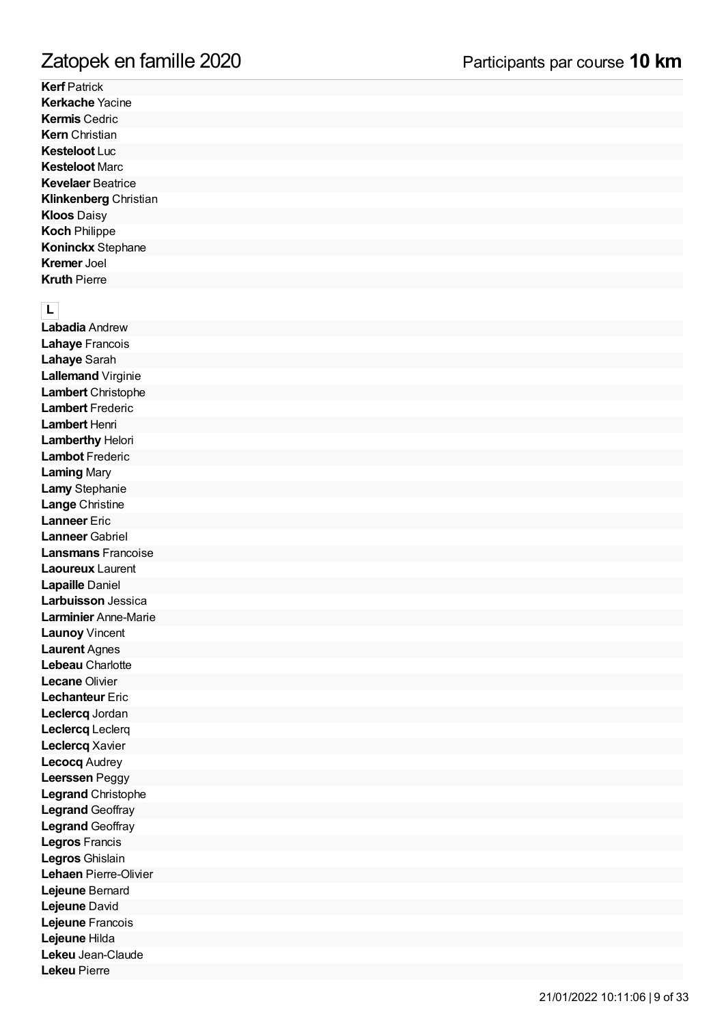**Kerf** Patrick **Kerkache** Yacine **Kermis** Cedric **Kern** Christian **Kesteloot** Luc **Kesteloot** Marc **Kevelaer** Beatrice **Klinkenberg** Christian **Kloos** Daisy **K o c h** P hilip p e **Koninckx** Stephane **Kremer** Joel **Kruth** Pierre

**L**<br>Labadia Andrew **Lahaye** Francois **Lahaye** Sarah **Lallemand** Virginie **Lambert** Christophe **Lambert** Frederic **Lambert** Henri Lamberthy Helori **Lambot** Frederic **Laming** Mary **Lamy** Stephanie **Lange** Christine **Lanneer** Eric **Lanneer** Gabriel **Lansmans** Francois e **Laoureux** Laurent Lapaille Daniel Larbuisson Jessica **Larminier** Anne-Marie **Launoy** Vincent **Laurent** Agnes Lebeau Charlotte **Lecane** Olivier **Lechanteur** Eric **Leclercq** Jordan **Leclercq** Leclerq **Leclercq** Xavier **Lecocq** Audrey **Leerssen** Peggy Legrand Christophe **Legrand** Geoffray **Legrand** Geoffray **Legros** Francis **L e g ro s** G hislain Lehaen Pierre-Olivier Lejeune Bernard **Lejeune** David **Lejeune** Francois **Lejeune** Hilda Lekeu Jean-Claude **Lekeu** Pierre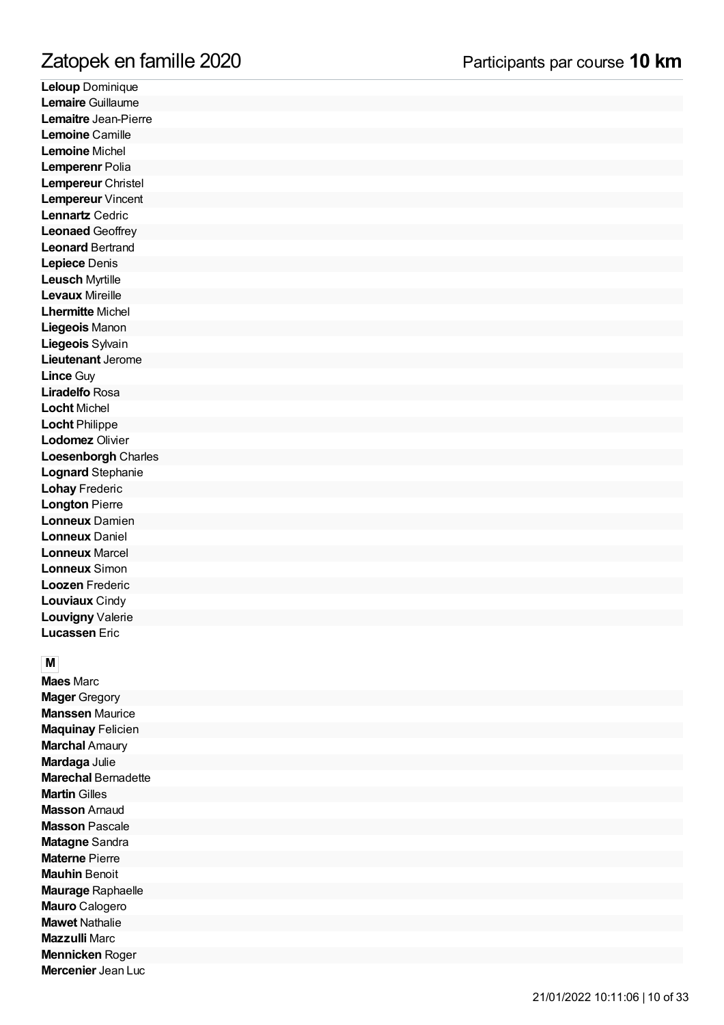**Leloup** Dominique Lemaire Guillaume Lemaitre Jean-Pierre **Lemoine** Camille **Lemoine** Michel **Lemperenr** Polia Lempereur Christel **Lempereur** Vincent **Lennartz** Cedric **Leonaed** Geoffrey **Leonard** Bertrand **Lepiece** Denis **Leusch** Myrtille **Levaux** Mireille **Lhermitte** Michel **Liegeois** Manon **Liegeois** Sylvain **Lieutenant** Jerome **Lince** Guy **Liradelfo** Rosa **Locht** Michel **Locht** Philippe **Lodomez** Olivier **Loesenborgh** Charle s Lognard Stephanie **Lohay** Frederic **Longton Pierre Lonneux** Damien **Lonneux** Daniel **Lonneux** Marcel **Lonneux** Simon **Loozen** Frederic **Louviaux** Cindy **Louvigny** Valerie **Lucassen** Eric

**M**<br>**Maes** Marc **Mager** Gregory **Manssen** Maurice **Maquinay** Felicien **Marchal** Amaury **Mardaga** Julie Marechal Bernadette **Martin** Gilles **Masson Arnaud Masson Pascale Matagne Sandra Materne Pierre Mauhin** Benoit Maurage Raphaelle Mauro Calogero **Mawet** Nathalie **Mazzulli** Marc **Mennicken Roger Mercenier** Jean Luc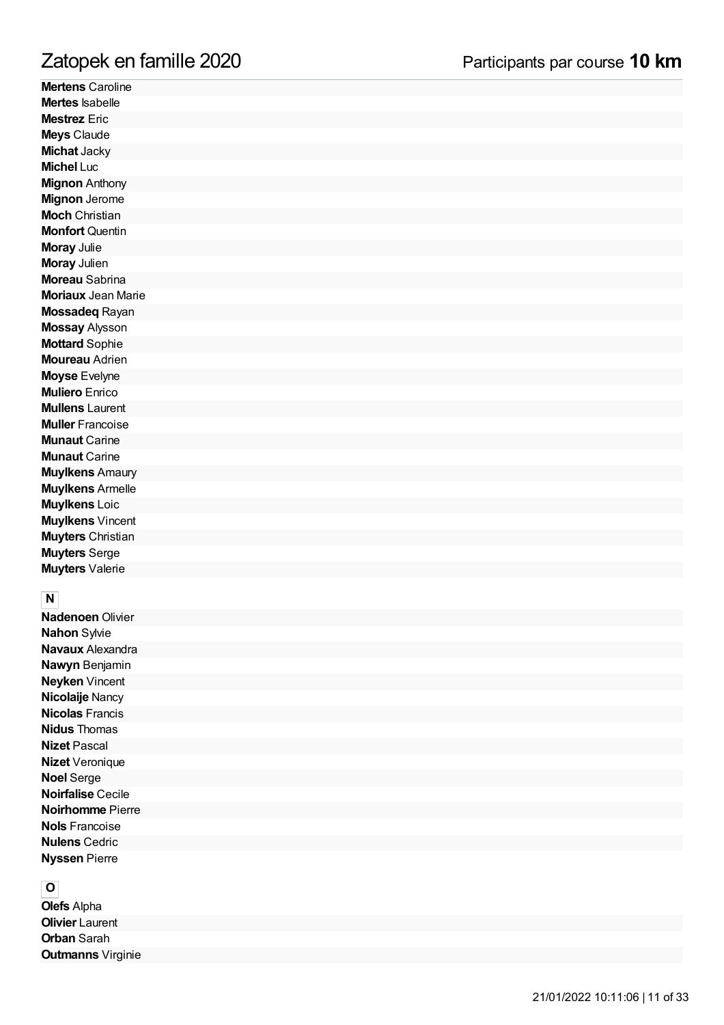**Mertens** Caroline **Mertes** Isabelle **Mestrez** Eric **Meys Claude Michat** Jacky **Michel** Luc **Mignon** Anthony **Mignon** Jerome **Moch** Christian **Monfort** Quentin **M o ra y** J ulie **Moray** Julien **Moreau** Sabrina **Moriaux** Jean Marie **Mossadeq Rayan Mossay Alysson Mottard** Sophie **Moureau** Adrien **M o y s e** E vely n e **Muliero** Enrico **Mullens** Laurent **Muller** Francoise **Munaut** Carine **Munaut** Carine **Muylkens** Amaury **Muylkens** Armelle **Muylkens** Loic **Muylkens** Vincent **Muyters** Christian **Muyters** Serge **M u y t e rs** V ale rie

**N**<br>**Nadenoen** Olivier **N a h o n** S ylvie **Navaux** Alexandra **N a wy n** B e nj a min **Neyken** Vincent **Nicolaije** Nancy **Nicolas** Francis **Nidus** Thomas **Nizet** Pascal **Nizet** Veronique **N o el** S e rg e **Noirfalise** Cecile **Noirhomme** Pierre **Nols** Francoise **Nulens** Cedric **Nyssen Pierre** 

**O**<br>**Olefs** Alpha **Olivier** Laurent **Orban** Sarah **Outmanns** Virginie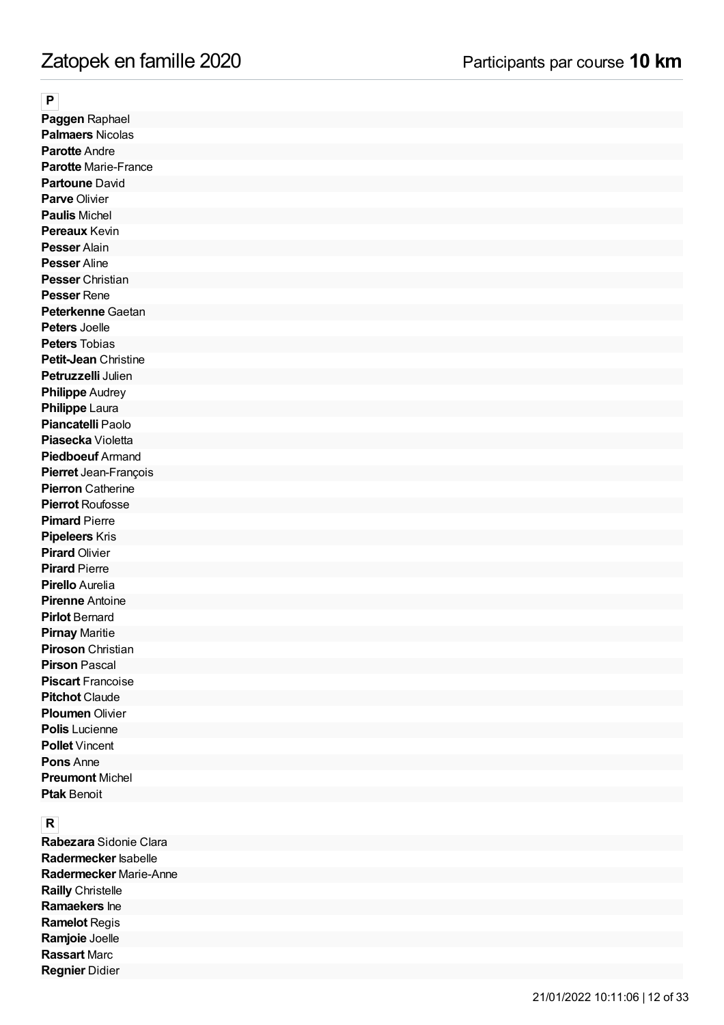### **P**

**Paggen** Raphael **Palmaers** Nicolas **Parotte** Andre **Parotte** Marie-France **Partoune** David **Parve** Olivier **Paulis** Michel **Pereaux** Kevin **Pesser** Alain **Pesser** Aline **Pesser** Christian **Pesser** Rene **Peterkenne** Gaetan **Peters** Joelle **Peters** Tobias **Petit-Jean** Christine **Petruzzelli** Julien **Philippe** Audrey **Philippe** Laura **Piancatelli** Paolo **Piasecka** Violetta **Piedboeuf** Armand **Pierret** Jean-François **Pierron** Catherine **Pierrot** Roufosse **Pimard** Pierre **Pipeleers** Kris **Pirard** Olivier **Pirard** Pierre **Pirello** Aurelia **Pirenne** Antoine **Pirlot** Bernard **Pirnay** Maritie **Piroson** Christian **Pirson** Pascal **Piscart** Francoise **Pitchot** Claude **Ploumen** Olivier **Polis** Lucienne **Pollet** Vincent **Pons** Anne **Preumont** Michel **Ptak** Benoit

### **R**

**Rabezara** Sidonie Clara **Radermecker** Isabelle **Radermecker** Marie-Anne **Railly** Christelle **Ramaekers** Ine **Ramelot** Regis **Ramjoie** Joelle **Rassart** Marc **Regnier** Didier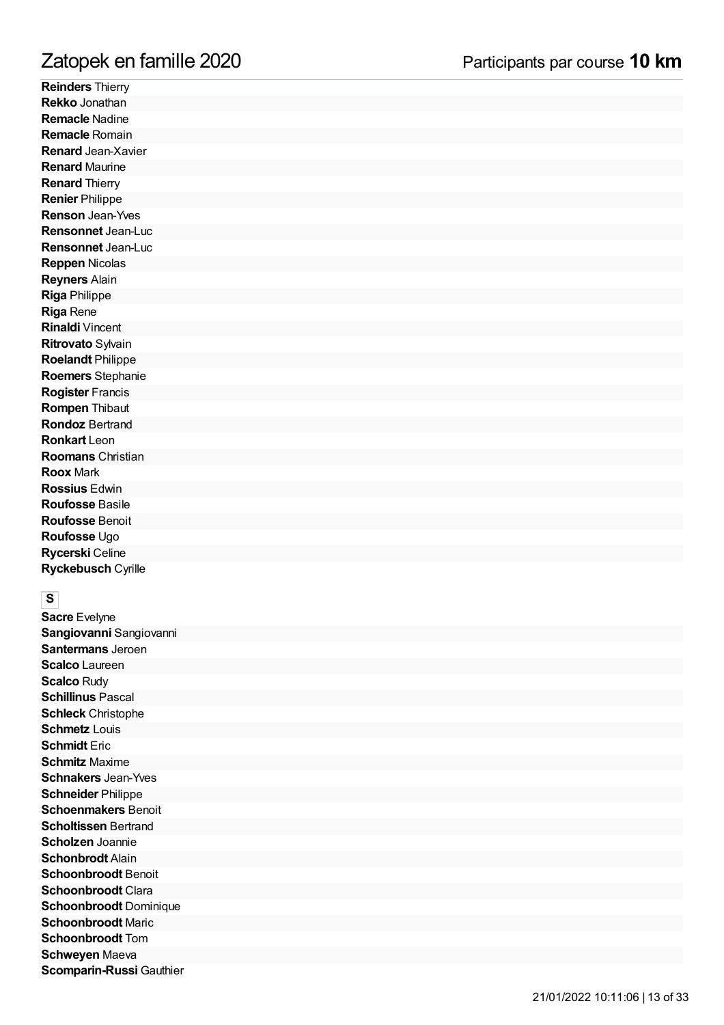**Reinders** Thierry **Rekko** Jonathan **Remacle** Nadine **Remacle** Romain **Renard** Jean-Xavier **Renard** Maurine **Renard** Thierry **Renier** Philippe **Renson** Jean-Yves **Rensonnet** Jean-Luc **Rensonnet** Jean-Luc **Reppen Nicolas R e y n e rs** Alain **Rig a** P hilip p e **Riga** Rene **Rinaldi** Vincent **Ritrovato** Sylvain **Roelandt Philippe** Roemers Stephanie **Rogister** Francis **Rompen Thibaut Rondoz** Bertrand **Ronkart** Leon **Roomans** Christian **Roox** Mark **R o s siu s** E d win **R o u fo s s e** B a sile **Roufosse** Benoit **Roufosse** Ugo **Rycerski** Celine **Ryckebusch** Cyrille

**Sacre** Evelyne Sangiovanni Sangiovanni **Santermans** Jeroen **Scalco** Laureen **Scalco** Rudy **Schillinus** Pascal **Schleck** Christophe **Schmetz** Louis **Schmidt** Eric **Schmitz** Maxime **Schnakers** Jean-Yves **Schneider** Philippe **Schoenmakers** Benoit **Scholtissen** Bertrand **Scholzen** Joannie **Schonbrodt** Alain **Schoonbroodt** Benoit **Schoonbroodt** Clara **Schoonbroodt** Dominique **Schoonbroodt** Maric **Schoonbroodt** Tom **Schweyen** Maeva **Scomparin-Russi** Gauthie r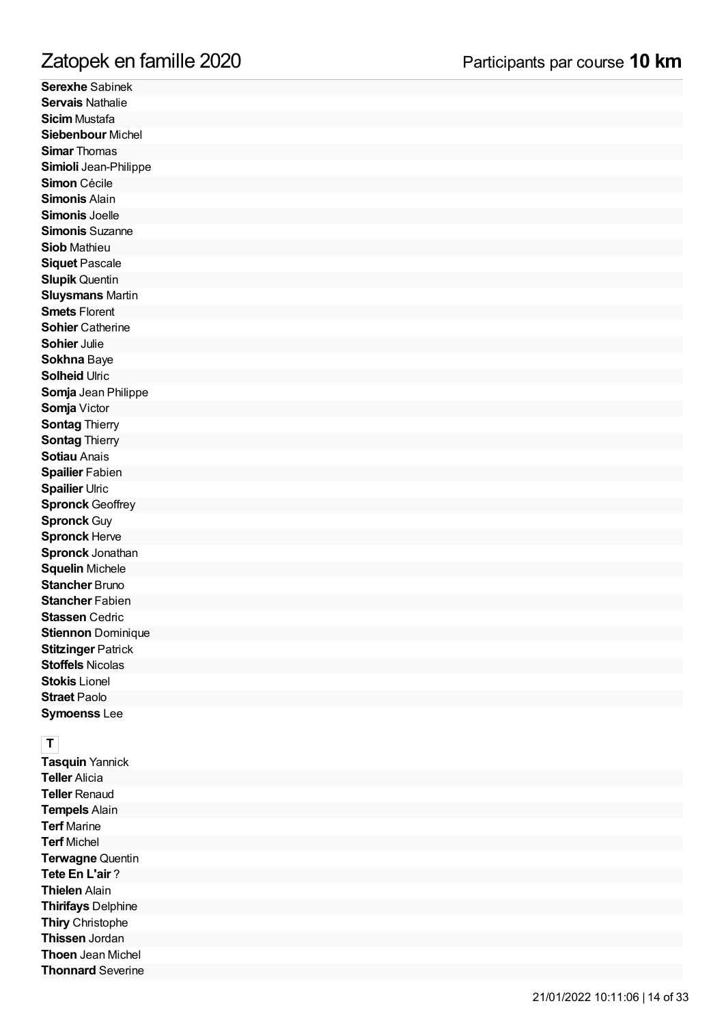# mille 2 0 2 0

**Serexhe** Sabinek Servais Nathalie **Sicim** Mustafa **Siebenbour** Michel **Simar** Thomas **Simioli** Jean-Philipp e Simon Cécile **Sim o nis** Alain **Simonis** Joelle **Simonis** Suzanne **Siob** Mathieu **Siquet** Pascale **Slupik** Quentin **Sluysmans** Martin **Smets** Florent **Sohier** Catherine **Sohier** Julie **Sokhna** Baye **S olh eid** Ulric **Somja** Jean Philippe **Somja** Victor **Sontag Thierry Sontag Thierry Sotiau** Anais **Spailier** Fabien **Spailier** Ulric **Spronck** Geoffrey **Spronck** Guy **Spronck** Herve **Spronck** Jonathan **Squelin** Michele **Stancher** Bruno **Stancher** Fabien Stassen Cedric **Stiennon** Dominique **Stitzinger Patrick Stoffels** Nicolas **Stokis** Lionel **Straet** Paolo **Symoenss** Lee Zatopek en fan<br>Serexhe Sabinek<br>Servais Nathalie<br>Sicim Mustafa<br>Sicim Mustafa<br>Simon Cécile<br>Simon Cécile<br>Simonis Jean-Philippe<br>Simonis Jean-Philippe<br>Simonis Suzanne<br>Siob Mathieu<br>Siquet Pascale<br>Siquet Pascale<br>Siquet Pascale<br>Si

**Tasquin** Yannick **T elle r** Alicia **Teller** Renaud **T e m p els** Alain **Terf** Marine **Terf** Michel **Terwagne** Quentin **T e t e E n L'air** ? **T hiele n** Alain **T hirifa y s** D elp hin e **Thiry** Christophe **Thissen** Jordan **Thoen** Jean Michel **Thonnard Severine**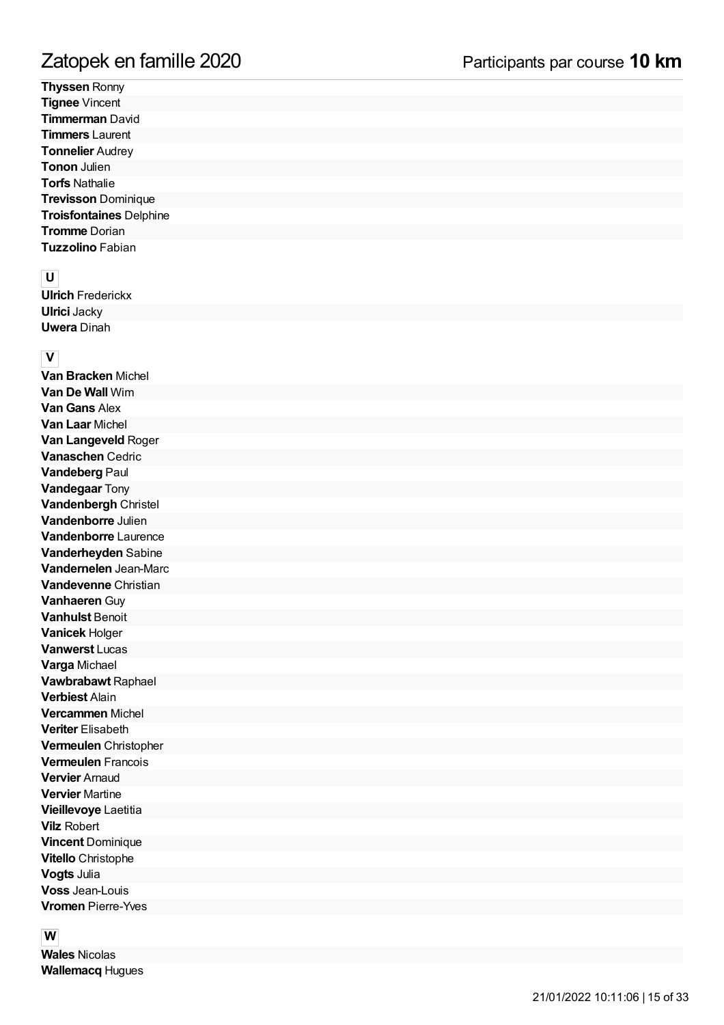**Thyssen Ronny Tignee** Vincent **Timmerman David Timmers** Laurent **Tonnelier** Audrey **Tonon** Julien **T o rfs** N a t h alie **Trevisson Dominique Troisfontaines** Delphine **Tromme** Dorian **Tuzzolino** Fabian

**U**<br>**Ulrich** Frederickx **Ulrici** Jacky **Uwera** Dinah

**V**<br>**Van Bracken** Michel **Van De Wall** Wim **Van Gans** Alex **Van Laar** Michel **Van Langeveld Roger Vanaschen** Cedric **Vandeberg Paul Vandegaar** Tony Vandenbergh Christel **Vandenborre** Julien **Vandenborre** Laurenc e **Vanderheyden** Sabine **Vandernelen** Jean-Marc **Vandevenne** Christian **Vanhaeren Guy Vanhulst** Benoit **Vanicek** Holger **Vanwerst** Lucas **Varga** Michael **Vawbrabawt** Raphael **Verbiest** Alain **Vercammen** Michel **Veriter** Elisabeth **Vermeulen** Christophe r **Vermeulen** Francois **Vervier** Arnaud **Vervier** Martine **Vieillevoye** Laetitia **Vilz** Robert **Vincent** Dominique **Vitello** Christophe **V o g ts** J ulia **Voss** Jean-Louis **Vromen** Pierre-Yves

**W**<br>Wales Nicolas **Wallemacq Hugues**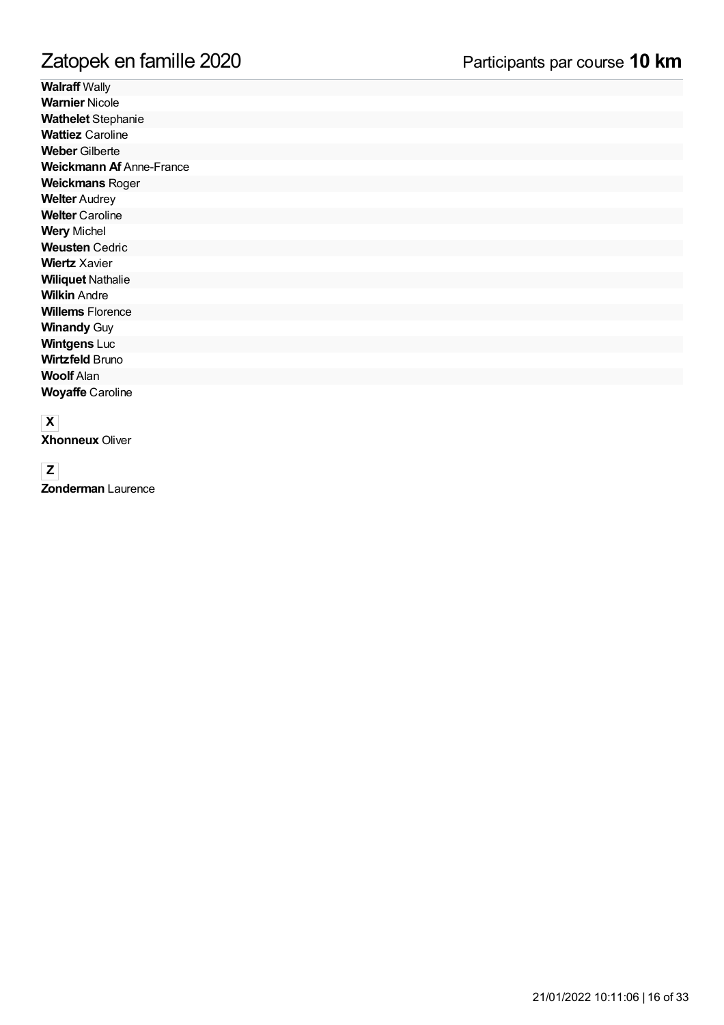**Walraff** Wally **Warnier** Nicole **Wathelet** Stephanie **Wattiez** Caroline **Weber** Gilberte **Weickmann Af** Anne-France **Weickmans** Roger **Welter** Audrey **Welter** Caroline **Wery** Michel **Weusten** Cedric **Wiertz** Xavier **Wiliquet** Nathalie **Wilkin** Andre **Willems** Florence **Winandy** Guy **Wintgens** Luc **Wirtzfeld** Bruno **Woolf** Alan **Woyaffe** Caroline

### **X**

**Xhonneux** Oliver

**Z Zonderman** Laurence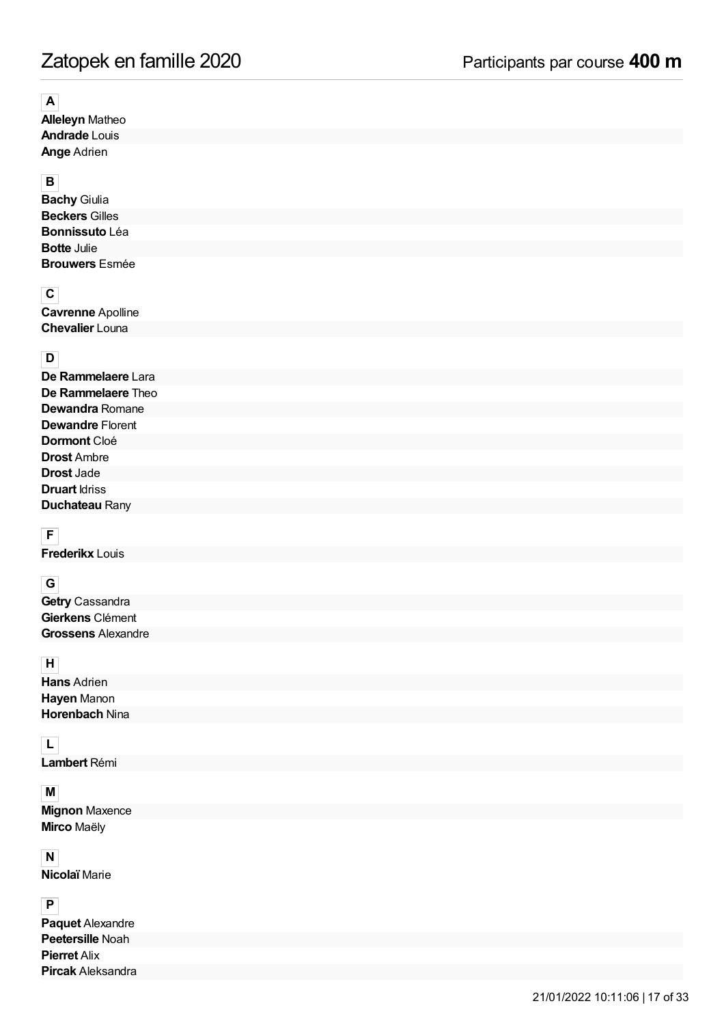# Zatopek en famille 2020 Participants par course **400 m**

### **A**

**Alleleyn** Matheo **Andrade** Louis **Ange** Adrien

## **B**

**Bachy** Giulia **Beckers** Gilles **Bonnissuto** Léa **Botte** Julie **Brouwers** Esmée

## **C**

**Cavrenne** Apolline **Chevalier** Louna

## **D**

| De Rammelaere Lara        |
|---------------------------|
| <b>De Rammelaere</b> Theo |
| <b>Dewandra</b> Romane    |
| <b>Dewandre Florent</b>   |
| <b>Dormont</b> Cloé       |
| <b>Drost</b> Ambre        |
| <b>Drost</b> Jade         |
| <b>Druart</b> Idriss      |
| Duchateau Rany            |

## **F**

**Frederikx** Louis

### **G**

**Getry** Cassandra **Gierkens** Clément **Grossens** Alexandre

## **H**

**Hans** Adrien **Hayen** Manon **Horenbach** Nina

## **L**

**Lambert** Rémi

### **M**

**Mignon** Maxence **Mirco** Maëly

### **N**

**Nicolaï** Marie

## **P**

**Paquet** Alexandre **Peetersille** Noah **Pierret** Alix **Pircak** Aleksandra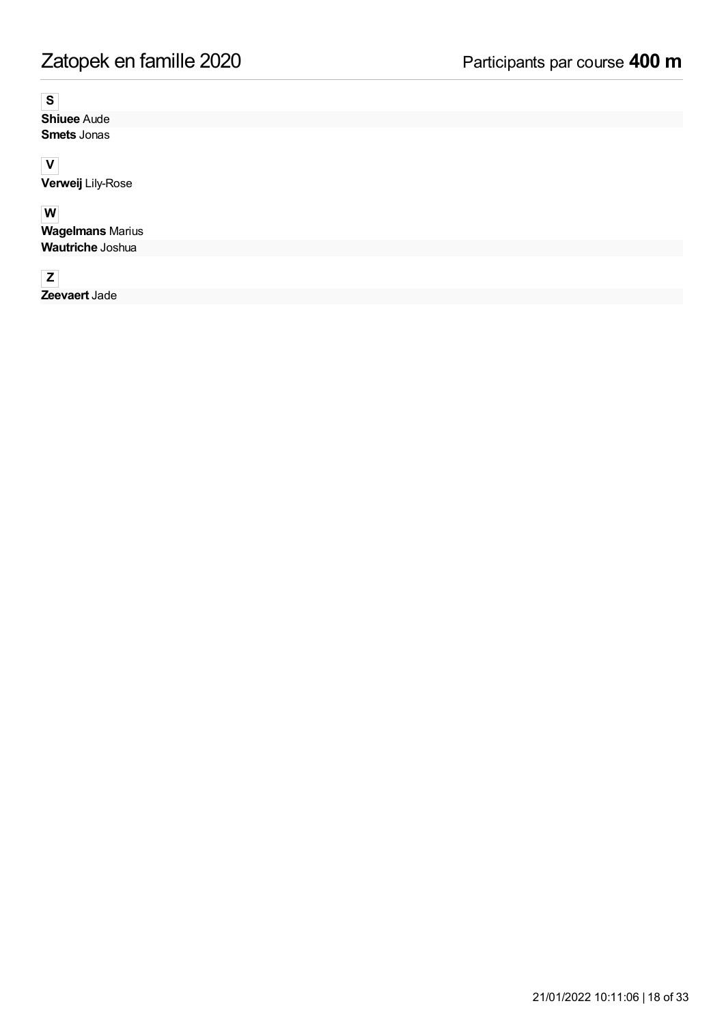## **S**

**Shiuee** Aude **Smets** Jonas

### **V**

**Verweij** Lily-Rose

# **W**

**Wagelmans** Marius **Wautriche** Joshua

# **Z**

**Zeevaert** Jade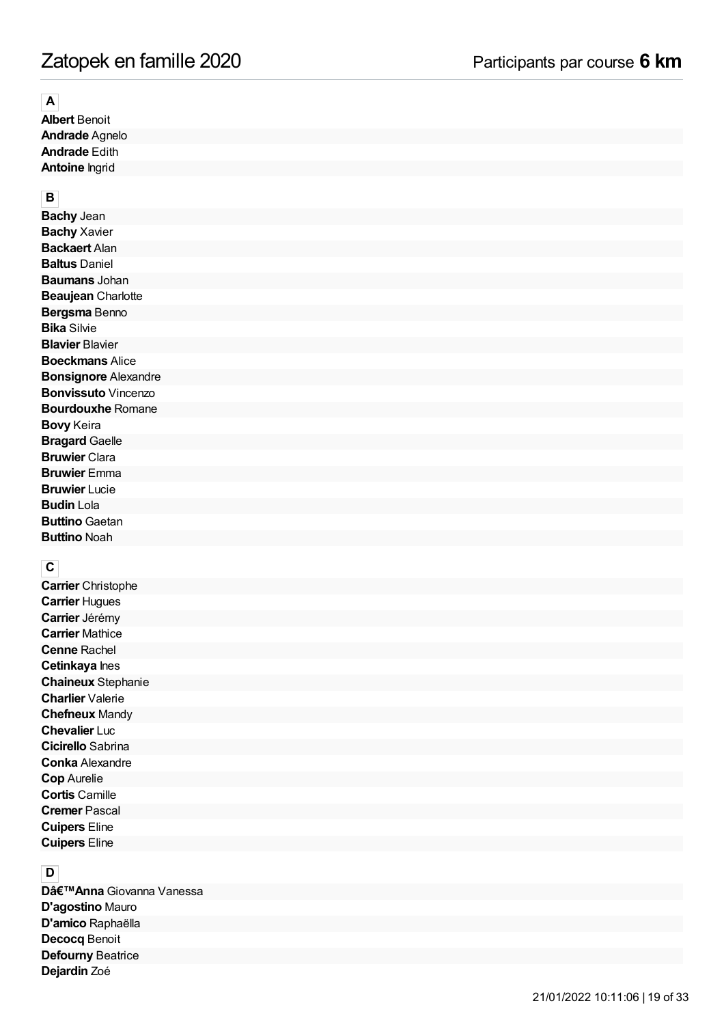# Zatopek en famille 2020 Participants par course **6 km**

## **A**

**Albert** Benoit **Andrade** Agnelo **Andrade** Edith **Antoine** Ingrid

### **B**

**Bachy** Jean **Bachy** Xavier **Backaert** Alan **Baltus** Daniel **Baumans** Johan **Beaujean** Charlotte **Bergsma** Benno **Bika** Silvie **Blavier** Blavier **Boeckmans** Alice **Bonsignore** Alexandre **Bonvissuto** Vincenzo **Bourdouxhe** Romane **Bovy** Keira **Bragard** Gaelle **Bruwier** Clara **Bruwier** Emma **Bruwier** Lucie **Budin** Lola **Buttino** Gaetan **Buttino** Noah

## **C**

**Carrier** Christophe **Carrier** Hugues **Carrier** Jérémy **Carrier** Mathice **Cenne** Rachel **Cetinkaya** Ines **Chaineux** Stephanie **Charlier** Valerie **Chefneux** Mandy **Chevalier** Luc **Cicirello** Sabrina **Conka** Alexandre **Cop** Aurelie **Cortis** Camille **Cremer** Pascal **Cuipers** Eline **Cuipers** Eline

## **D**

**D'Anna** Giovanna Vanessa **D'agostino** Mauro **D'amico** Raphaëlla **Decocq** Benoit **Defourny** Beatrice **Dejardin** Zoé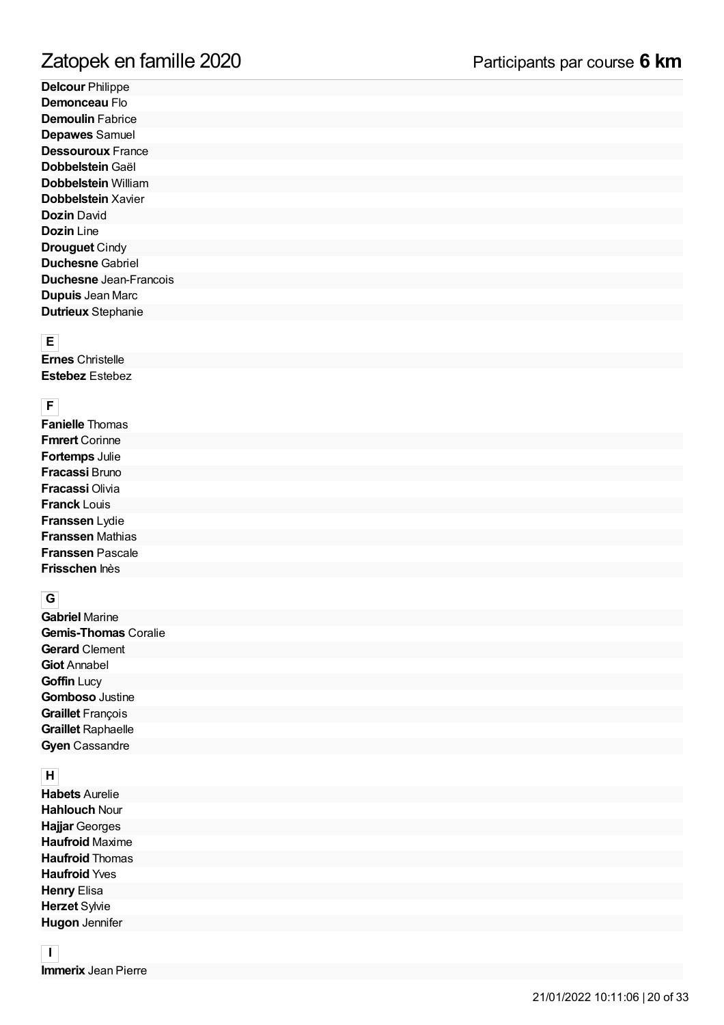**Delcour** Philippe **Demonceau** Flo **Demoulin** Fabrice **Depawes** Samuel **Dessouroux** France **Dobbelstein** Gaël **Dobbelstein** William **Dobbelstein** Xavier **Dozin** David **Dozin** Line **Drouguet** Cindy **Duchesne** Gabriel **Duchesne** Jean-Francois **Dupuis** Jean Marc **Dutrieux** Stephanie

### **E**

**Ernes** Christelle **Estebez** Estebez

# **F**

**Fanielle** Thomas **Fmrert** Corinne **Fortemps** Julie **Fracassi** Bruno **Fracassi** Olivia **Franck** Louis **Franssen** Lydie **Franssen** Mathias **Franssen** Pascale **Frisschen** Inès

## **G**

**Gabriel** Marine **Gemis-Thomas** Coralie **Gerard** Clement **Giot** Annabel **Goffin** Lucy **Gomboso** Justine **Graillet** François **Graillet** Raphaelle **Gyen** Cassandre

## **H**

**Habets** Aurelie **Hahlouch** Nour **Hajjar** Georges **Haufroid** Maxime **Haufroid** Thomas **Haufroid** Yves **Henry** Elisa **Herzet** Sylvie **Hugon** Jennifer

### **I Immerix** Jean Pierre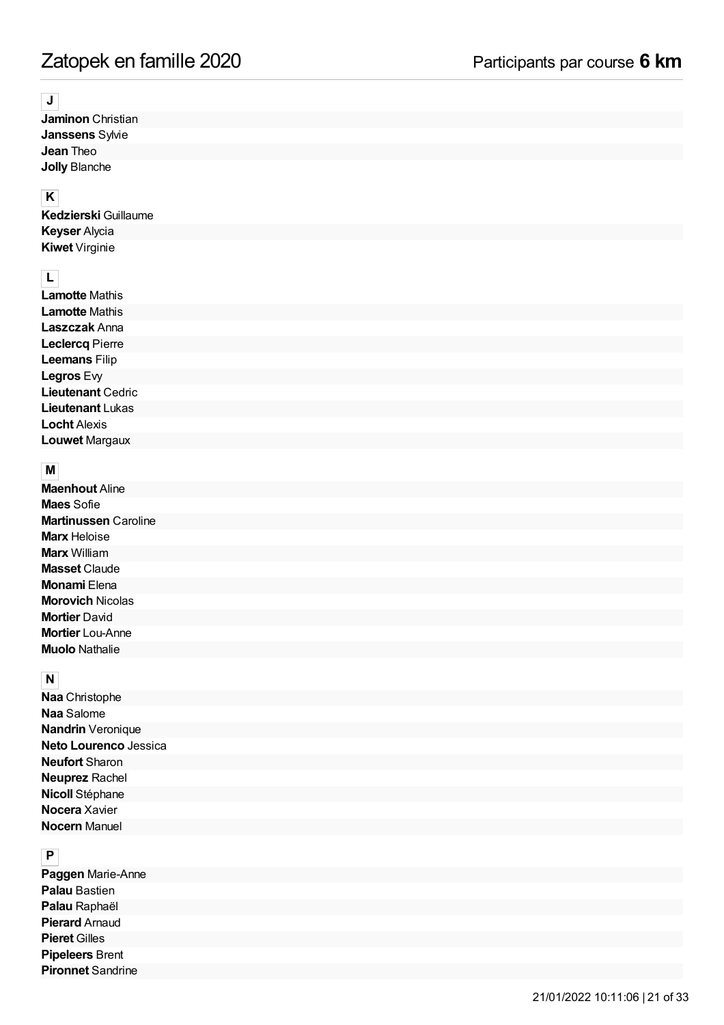### **J**

**Jaminon** Christian **Janssens** Sylvie **Jean** Theo **Jolly** Blanche

## **K**

**Kedzierski** Guillaume **Keyser** Alycia **Kiwet** Virginie

# **L**

**Lamotte** Mathis **Lamotte** Mathis **Laszczak** Anna **Leclercq** Pierre **Leemans** Filip **Legros** Evy **Lieutenant** Cedric **Lieutenant** Lukas **Locht** Alexis **Louwet** Margaux

## **M**

**Maenhout** Aline **Maes** Sofie **Martinussen** Caroline **Marx** Heloise **Marx** William **Masset** Claude **Monami** Elena **Morovich** Nicolas **Mortier** David **Mortier** Lou-Anne **Muolo** Nathalie

## **N**

**Naa** Christophe **Naa** Salome **Nandrin** Veronique **Neto Lourenco** Jessica **Neufort** Sharon **Neuprez** Rachel **Nicoll** Stéphane **Nocera** Xavier **Nocern** Manuel

## **P**

**Paggen** Marie-Anne **Palau** Bastien **Palau** Raphaël **Pierard** Arnaud **Pieret** Gilles **Pipeleers** Brent **Pironnet** Sandrine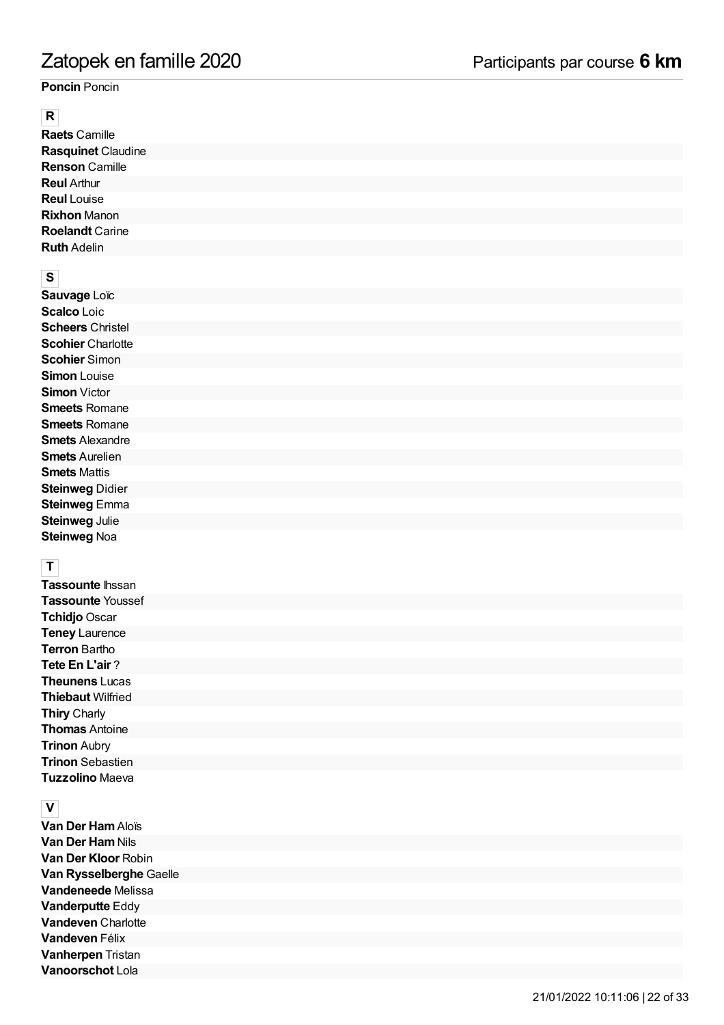### **Poncin** Poncin

### **R**

**Raets** Camille **Rasquinet** Claudine **Renson** Camille **Reul** Arthur **Reul** Louise **Rixhon** Manon **Roelandt** Carine **Ruth** Adelin

## **S**

**Sauvage** Loïc **Scalco** Loic **Scheers** Christel **Scohier** Charlotte **Scohier** Simon **Simon** Louise **Simon** Victor **Smeets** Romane **Smeets** Romane **Smets** Alexandre **Smets** Aurelien **Smets** Mattis **Steinweg** Didier **Steinweg** Emma **Steinweg** Julie **Steinweg** Noa

## **T**

**Tassounte** Ihssan **Tassounte** Youssef **Tchidjo** Oscar **Teney** Laurence **Terron** Bartho **Tete En L'air** ? **Theunens** Lucas **Thiebaut** Wilfried **Thiry** Charly **Thomas** Antoine **Trinon** Aubry **Trinon** Sebastien **Tuzzolino** Maeva

## **V**

**Van Der Ham**Aloïs **Van Der Ham Nils Van Der Kloor** Robin **Van Rysselberghe** Gaelle **Vandeneede** Melissa **Vanderputte** Eddy **Vandeven** Charlotte **Vandeven** Félix **Vanherpen** Tristan **Vanoorschot** Lola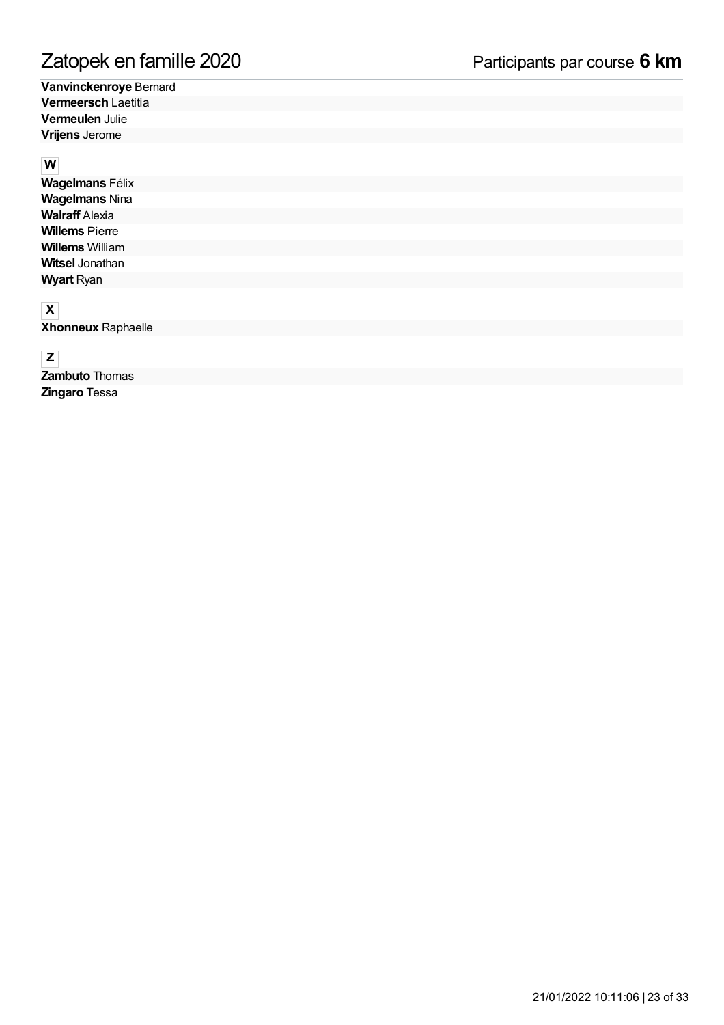**Vanvinckenroye** Bernard **Vermeersch** Laetitia **Vermeulen** Julie **Vrijens** Jerome

### **W**

**Wagelmans** Félix **Wagelmans** Nina **Walraff** Alexia **Willems** Pierre **Willems** William **Witsel** Jonathan **Wyart** Ryan

## **X**

**Xhonneux** Raphaelle

**Z**

**Zambuto** Thomas **Zingaro** Tessa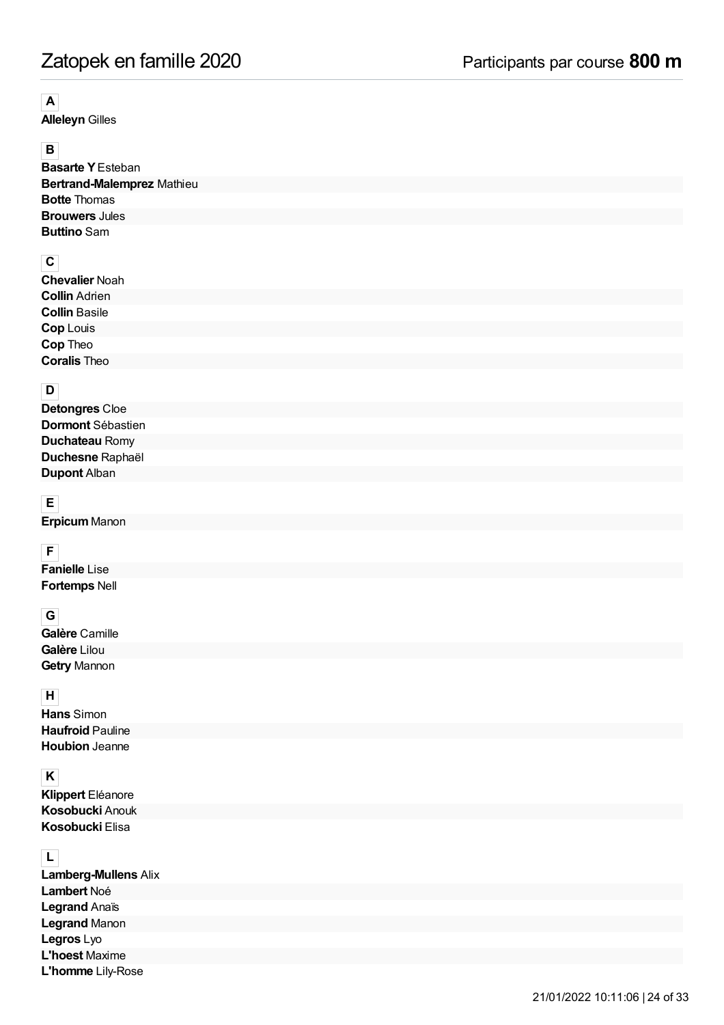# **A**

**Alleleyn** Gilles

# **B**

**Basarte Y**Esteban **Bertrand-Malemprez** Mathieu **Botte** Thomas **Brouwers** Jules **Buttino** Sam

## **C**

| ◡                     |  |
|-----------------------|--|
| <b>Chevalier Noah</b> |  |
| <b>Collin Adrien</b>  |  |
| <b>Collin Basile</b>  |  |
| <b>Cop Louis</b>      |  |
| Cop Theo              |  |
| <b>Coralis Theo</b>   |  |
|                       |  |

## **D**

| <b>Detongres Cloe</b> |  |
|-----------------------|--|
| Dormont Sébastien     |  |
| <b>Duchateau Romy</b> |  |
| Duchesne Raphaël      |  |
| <b>Dupont Alban</b>   |  |
|                       |  |

# **E**

**Erpicum** Manon

## **F**

**Fanielle** Lise **Fortemps** Nell

## **G**

**Galère** Camille **Galère** Lilou **Getry** Mannon

## **H**

**Hans** Simon **Haufroid** Pauline **Houbion** Jeanne

## **K**

**Klippert** Eléanore **Kosobucki** Anouk **Kosobucki** Elisa

| <b>Lamberg-Mullens Alix</b> |  |
|-----------------------------|--|
| Lambert Noé                 |  |
| Legrand Anaïs               |  |
| <b>Legrand Manon</b>        |  |
| <b>Legros</b> Lyo           |  |
| <b>L'hoest Maxime</b>       |  |
| L'homme Lily-Rose           |  |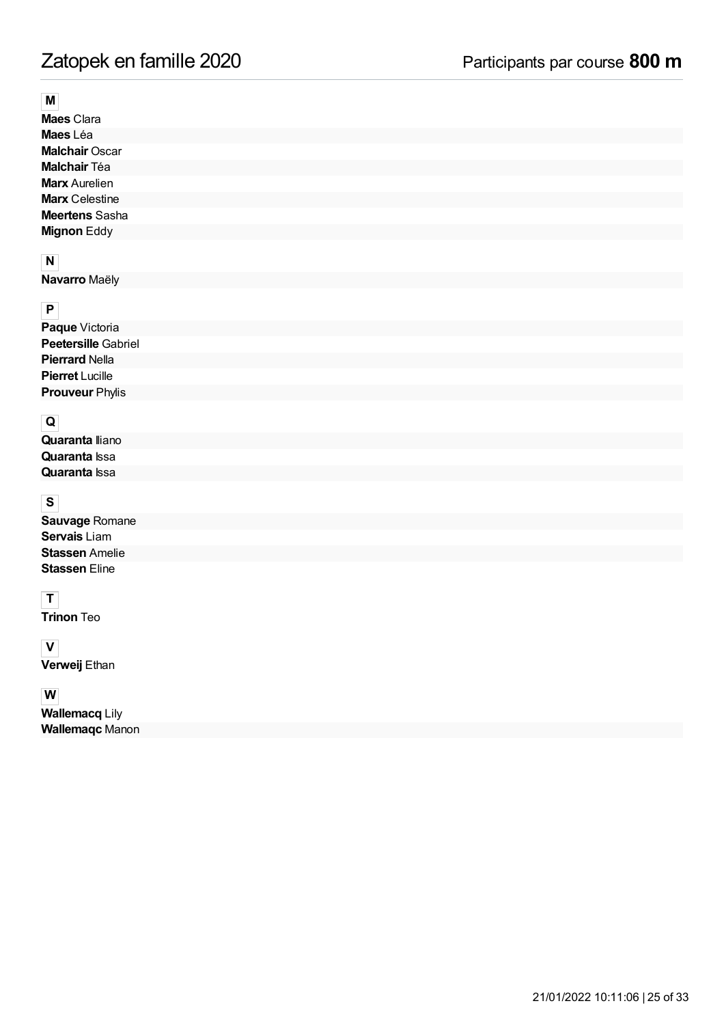### **M**

**Maes** Clara **Maes** Léa **Malchair** Oscar **Malchair** Téa **Marx** Aurelien **Marx** Celestine **Meertens** Sasha **Mignon** Eddy

## **N**

**Navarro** Maëly

# **P**

| Paque Victoria             |
|----------------------------|
| <b>Peetersille Gabriel</b> |
| <b>Pierrard Nella</b>      |
| <b>Pierret</b> Lucille     |
| <b>Prouveur Phylis</b>     |

# **Q**

| <b>Quaranta</b> Iliano |  |
|------------------------|--|
| <b>Quaranta</b> Issa   |  |
| <b>Quaranta</b> Issa   |  |

# **S**

| Sauvage Romane        |  |
|-----------------------|--|
| <b>Servais</b> Liam   |  |
| <b>Stassen Amelie</b> |  |
| <b>Stassen Eline</b>  |  |

# **T**

**Trinon** Teo

## **V**

**Verweij** Ethan

### **W**

**Wallemacq** Lily **Wallemaqc** Manon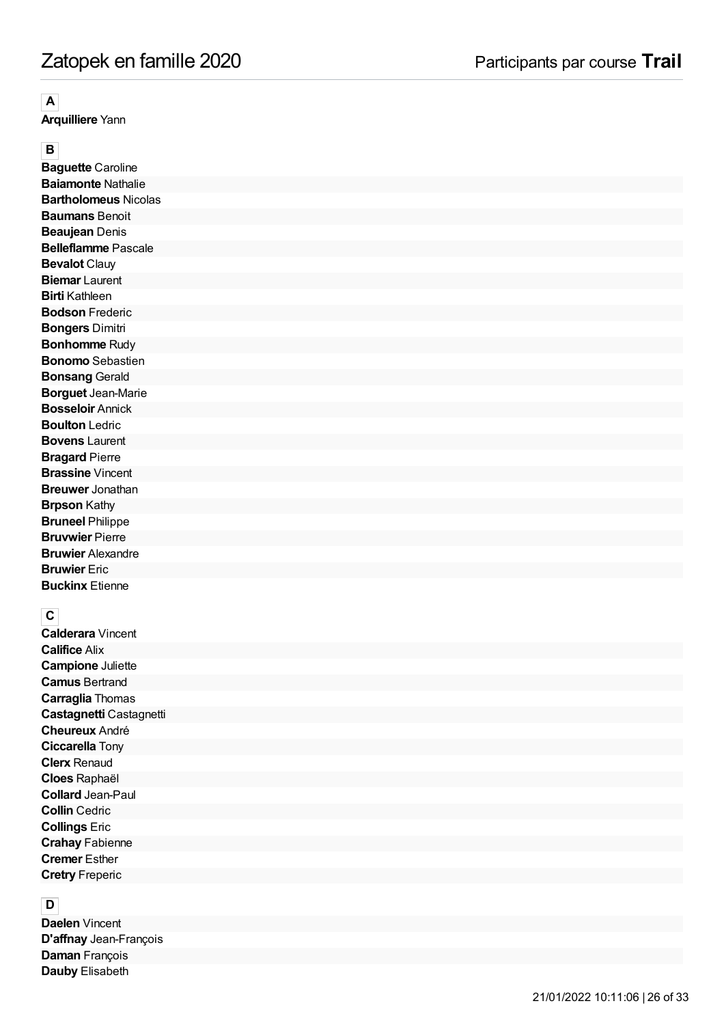**A**<br>**Arquilliere** Yann

**B**<br>**Baquette** Caroline **Baiamonte** Nathalie **Bartholomeus** Nicolas **Baumans** Benoit **Beaujean** Denis **Belleflamme** Pascale **Bevalot** Clauy **Biemar** Laurent **Birti** Kathleen **Bodson** Frederic **Bongers** Dimitri **Bonhomme** Rudy **Bonomo** Sebastien **Bonsang** Gerald **Borguet** Jean-Marie **Bosseloir** Annick **Boulton** Ledric **Bovens** Laurent **Bragard** Pierre **Brassine** Vincent **Breuwer** Jonathan **Brpson** Kathy **Bruneel** Philippe **Bruvwier** Pierre **Bruwier** Alexandre **Bruwier** Eric **Buckinx** Etienne

**C**<br>**Calderara** Vincent **Califice** Alix **Campione** Juliette **Camus** Bertrand **Carraglia** Thomas **Castagnetti** Castagnetti **Cheureux** André **Ciccarella** Tony **Clerx** Renaud **Cloes** Raphaël **Collard** Jean-Paul **Collin** Cedric **Collings** Eric **Crahay** Fabienne **Cremer** Esther **Cretry** Freperic

**D**<br>**Daelen** Vincent **D'affnay** Jean-François **Daman** François **Dauby** Elisabeth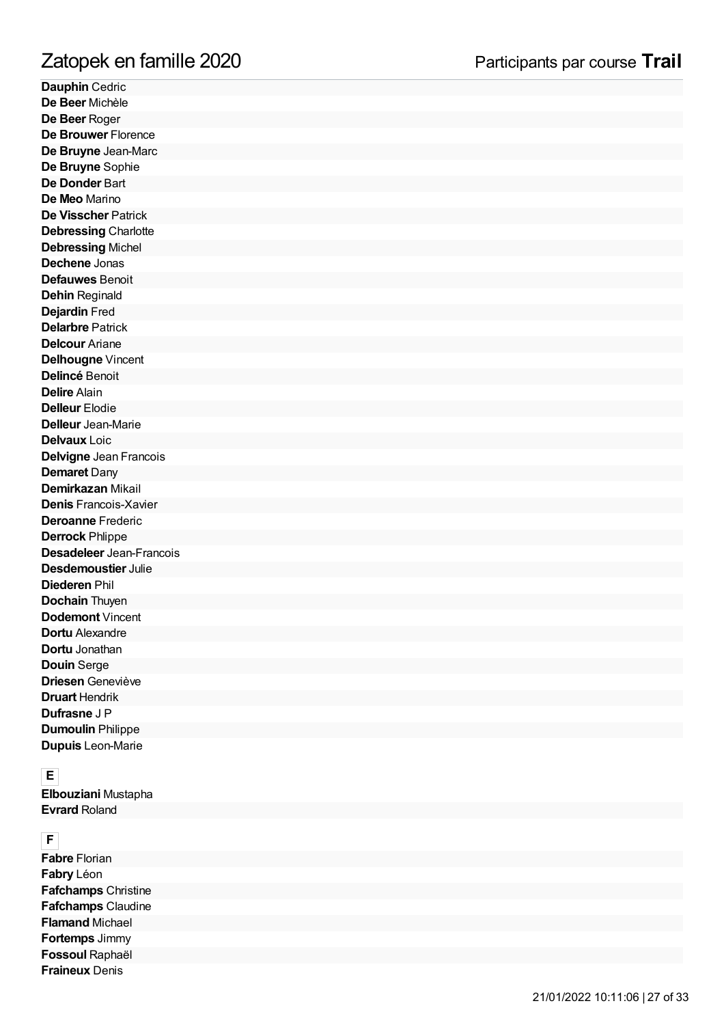**Dauphin** Cedric **De Beer** Michèle **De Beer** Roger **De Brouwer** Florence **De Bruyne** Jean-Marc **De Bruyne** Sophie **De Donder** Bart **De Meo** Marino **De Visscher** Patrick **Debressing** Charlotte **Debressing** Michel **Dechene** Jonas **Defauwes** Benoit **Dehin** Reginald **Dejardin** Fred **Delarbre** Patrick **Delcour** Ariane **Delhougne** Vincent **Delincé** Benoit **Delire** Alain **Delleur** Elodie **Delleur** Jean-Marie **Delvaux** Loic **Delvigne** Jean Francois **Demaret** Dany **Demirkazan** Mikail **Denis** Francois-Xavier **Deroanne** Frederic **Derrock** Phlippe **Desadeleer** Jean-Francois **Desdemoustier** Julie **Diederen** Phil **Dochain** Thuyen **Dodemont** Vincent **Dortu** Alexandre **Dortu** Jonathan **Douin** Serge **Driesen** Geneviève **Druart** Hendrik **Dufrasne** J P **Dumoulin** Philippe **Dupuis** Leon-Marie **Fraine Profits American**<br> **Fraine Beer Michiele**<br>
De Beer Michiele<br>
De Beer Roger<br>
De Bervine Jean-Marc<br>
De Brouwer Florence<br>
De Brouwer Florence<br>
De Donder Part<br>
De Meo Marino<br>
De Donder Partick<br>
Delvisscher Partick<br>
Del

**EElbouziani** Mustapha **Evrard** Roland

**FFabre** Florian **Fabry** Léon **Fafchamps** Christine **Fafchamps** Claudine **Flamand** Michael **Fortemps** Jimmy **Fossoul** Raphaël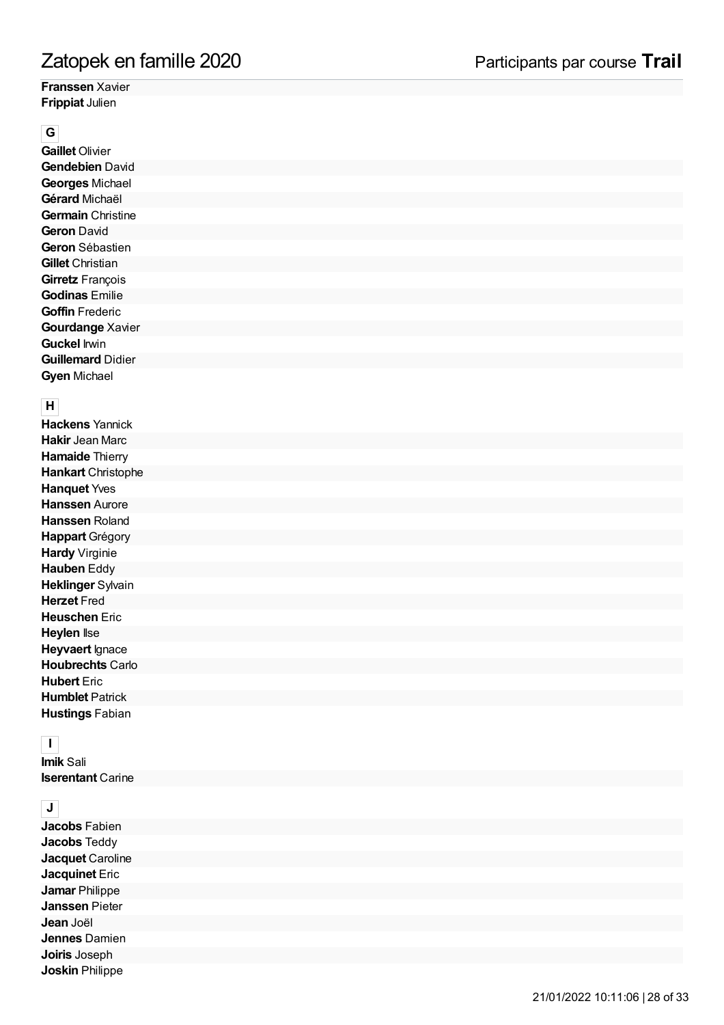### **Franssen** Xavier **Frippiat** Julien

**G**<br>**Gaillet** Olivier **Gendebien** David **Georges** Michael **Gérard** Michaël **Germain** Christine **Geron** David **Geron** Sébastien **Gillet** Christian **Girretz** François **Godinas** Emilie **Goffin** Frederic **Gourdange** Xavier **Guckel** Irwin **Guillemard** Didier **Gyen** Michael

**H**<br>**Hackens** Yannick **Hakir** Jean Marc **Hamaide** Thierry **Hankart** Christophe **Hanquet** Yves **Hanssen** Aurore **Hanssen** Roland **Happart** Grégory **Hardy** Virginie **Hauben** Eddy **Heklinger** Sylvain **Herzet** Fred **Heuschen** Eric **Heylen** Ilse **Heyvaert** Ignace **Houbrechts** Carlo **Hubert** Eric **Humblet** Patrick **Hustings** Fabian

## **I**

**Imik** Sali **Iserentant** Carine

**JJacobs** Fabien **Jacobs** Teddy **Jacquet** Caroline **Jacquinet** Eric **Jamar** Philippe **Janssen** Pieter **Jean** Joël **Jennes** Damien **Joiris** Joseph Zatopek en famille 2020<br>Franssen Xavier<br>Frippiat Julien<br>
Gallet Oliver<br>
Frippiat Julien<br>
Gendebien David<br>
Georges Michael<br>
German Christine<br>
German Christian<br>
German Christian<br>
Girertz François<br>
Godinas Emilie<br>
Girertz Fra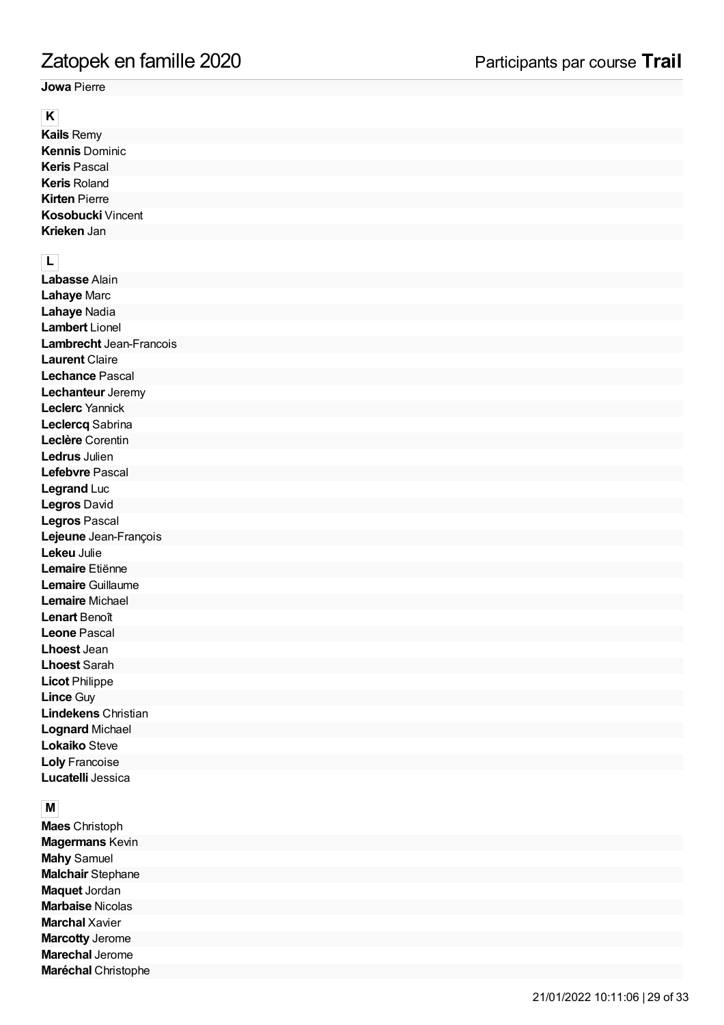**Jowa** Pierre

**K**<br>**Kails** Remy **Kennis** Dominic **Keris** Pascal **Keris** Roland **Kirten** Pierre **Kosobucki** Vincent **Krieken** Jan

**LLabasse** Alain **Lahaye** Marc **Lahaye** Nadia **Lambert** Lionel **Lambrecht** Jean-Francois **Laurent** Claire **Lechance** Pascal **Lechanteur** Jeremy **Leclerc** Yannick **Leclercq** Sabrina **Leclère** Corentin **Ledrus** Julien **Lefebvre** Pascal **Legrand** Luc **Legros** David **Legros** Pascal **Lejeune** Jean-François **Lekeu** Julie **Lemaire** Etiënne **Lemaire** Guillaume **Lemaire** Michael **Lenart** Benoît **Leone** Pascal **Lhoest** Jean **Lhoest** Sarah **Licot** Philippe **Lince** Guy **Lindekens** Christian **Lognard** Michael **Lokaiko** Steve **Loly** Francoise **Lucatelli** Jessica Zatopek en famille 2020<br>
Jowa Pierre<br>
Kalis Remy<br>
Kalis Remy<br>
Kennis Dominic<br>
Keris Pascal<br>
Keris Roland<br>
Keris Roland<br>
Keris Roland<br>
Kiristophe Microsoft<br>
Kristophe Marc<br>
Kristophe Marc<br>
Labasse Alain<br>
Lahaye Marc<br>
Lambre

**M**<br>**Maes** Christoph **Magermans** Kevin **Mahy** Samuel **Malchair** Stephane **Maquet** Jordan **Marbaise** Nicolas **Marchal** Xavier **Marcotty** Jerome **Marechal** Jerome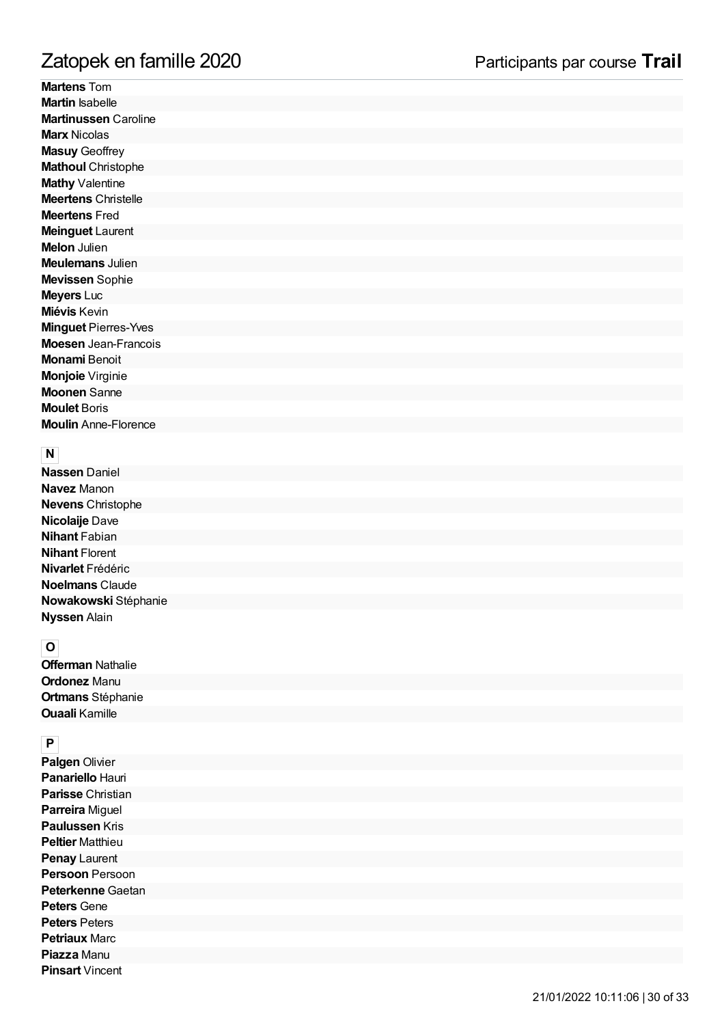| Zatopek en famille 2020     | Participants par course Trail |
|-----------------------------|-------------------------------|
| <b>Martens Tom</b>          |                               |
| <b>Martin Isabelle</b>      |                               |
| <b>Martinussen Caroline</b> |                               |
| <b>Marx Nicolas</b>         |                               |
| <b>Masuy Geoffrey</b>       |                               |
| <b>Mathoul Christophe</b>   |                               |
| Mathy Valentine             |                               |
| <b>Meertens Christelle</b>  |                               |
| <b>Meertens Fred</b>        |                               |
| <b>Meinguet Laurent</b>     |                               |
| <b>Melon</b> Julien         |                               |
| <b>Meulemans Julien</b>     |                               |
| Mevissen Sophie             |                               |
| <b>Meyers Luc</b>           |                               |
| Miévis Kevin                |                               |
| <b>Minguet Pierres-Yves</b> |                               |
| <b>Moesen</b> Jean-Francois |                               |
| <b>Monami Benoit</b>        |                               |
| Monjoie Virginie            |                               |
| <b>Moonen Sanne</b>         |                               |
| <b>Moulet Boris</b>         |                               |
| <b>Moulin</b> Anne-Florence |                               |
|                             |                               |
| N                           |                               |
| <b>Nassen Daniel</b>        |                               |
| <b>Navez</b> Manon          |                               |
| <b>Nevens Christophe</b>    |                               |
| Nicolaije Dave              |                               |
| <b>Nihant Fabian</b>        |                               |
| <b>Nihant Florent</b>       |                               |
| Nivarlet Frédéric           |                               |
| <b>Noelmans Claude</b>      |                               |
| Nowakowski Stéphanie        |                               |
| <b>Nyssen Alain</b>         |                               |
|                             |                               |
| $\overline{\mathbf{o}}$     |                               |
| <b>Offerman Nathalie</b>    |                               |
| <b>Ordonez Manu</b>         |                               |
| <b>Ortmans Stéphanie</b>    |                               |
| <b>Ouaali Kamille</b>       |                               |
|                             |                               |
| $\pmb{\mathsf{P}}$          |                               |
| Palgen Olivier              |                               |
| Panariello Hauri            |                               |
| Parisse Christian           |                               |
| Parreira Miguel             |                               |
| <b>Paulussen Kris</b>       |                               |
| <b>Peltier Matthieu</b>     |                               |
| Penay Laurent               |                               |
| Persoon Persoon             |                               |
| Peterkenne Gaetan           |                               |
| <b>Peters Gene</b>          |                               |
| <b>Peters Peters</b>        |                               |
| <b>Petriaux Marc</b>        |                               |
| Piazza Manu                 |                               |
| <b>Pinsart Vincent</b>      |                               |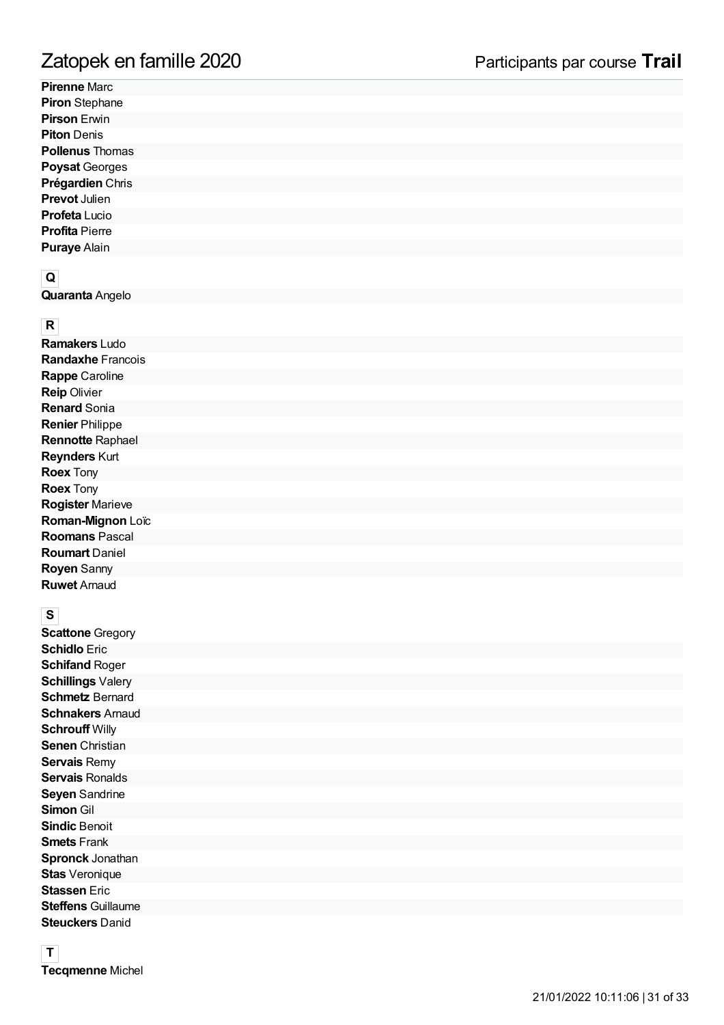**Pirenne** Marc **Piron** Stephane **Pirson** Erwin **Piton** Denis **Pollenus** Thomas **Poysat** Georges **Prégardien** Chris **Prevot** Julien **Profeta** Lucio **Profita** Pierre **Puraye** Alain

**Q**<br>**Quaranta** Angelo

**R**<br>**Ramakers** Ludo **Randaxhe** Francois **Rappe** Caroline **Reip** Olivier **Renard** Sonia **Renier** Philippe **Rennotte** Raphael **Reynders** Kurt **Roex** Tony **Roex** Tony **Rogister** Marieve **Roman-Mignon** Loïc **Roomans** Pascal **Roumart** Daniel **Royen** Sanny **Ruwet** Arnaud

**S**<br>**Scattone** Gregory **Schidlo** Eric **Schifand** Roger **Schillings** Valery **Schmetz** Bernard **Schnakers** Arnaud **Schrouff** Willy **Senen** Christian **Servais** Remy **Servais** Ronalds **Seyen** Sandrine **Simon** Gil **Sindic** Benoit **Smets** Frank **Spronck** Jonathan **Stas** Veronique **Stassen** Eric **Steffens** Guillaume **Steuckers** Danid Zatopek en famille 2020<br>Pirenne Marc<br>Piron Stephane<br>Piron Stephane<br>Piron Emighane<br>Piron Denis<br>Pollenus Thomas<br>Pollenus Thomas<br>Prégardien Chris<br>Prevot Julien<br>Profeta Lucio<br>Profeta Piere<br>Puraye Alain<br>Quraranta Angelo<br>Ramaker